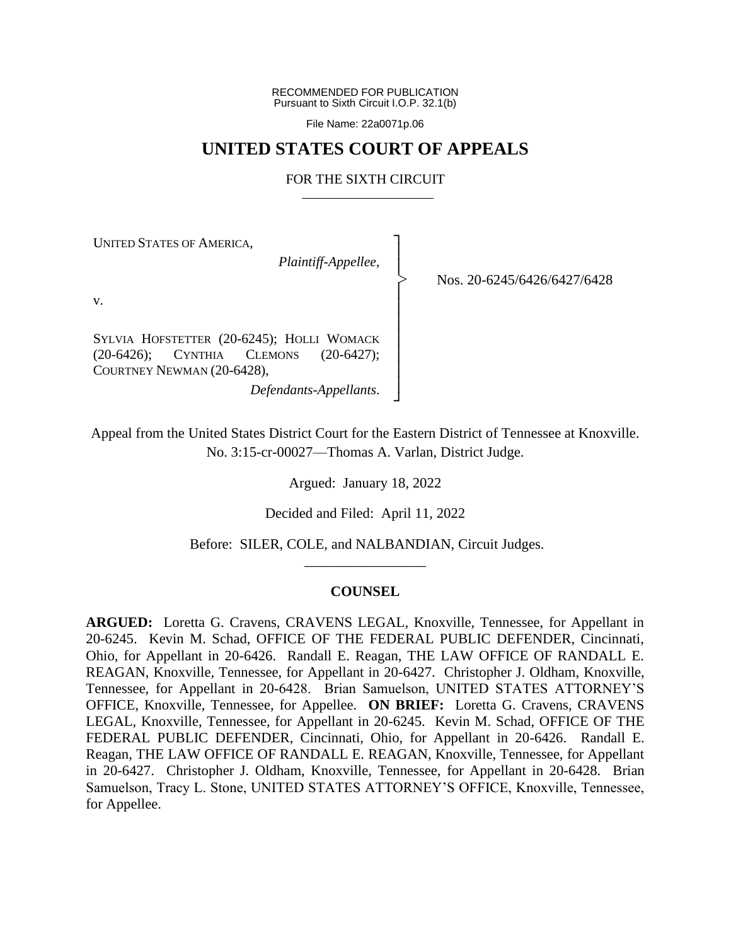RECOMMENDED FOR PUBLICATION Pursuant to Sixth Circuit I.O.P. 32.1(b)

File Name: 22a0071p.06

# **UNITED STATES COURT OF APPEALS**

## FOR THE SIXTH CIRCUIT

┐ │ │ │ │ │ │ │ │ │ ┘

|<br>|>

UNITED STATES OF AMERICA,

*Plaintiff-Appellee*,

Nos. 20-6245/6426/6427/6428

v.

SYLVIA HOFSTETTER (20-6245); HOLLI WOMACK (20-6426); CYNTHIA CLEMONS (20-6427); COURTNEY NEWMAN (20-6428),

*Defendants-Appellants*.

Appeal from the United States District Court for the Eastern District of Tennessee at Knoxville. No. 3:15-cr-00027—Thomas A. Varlan, District Judge.

Argued: January 18, 2022

Decided and Filed: April 11, 2022

Before: SILER, COLE, and NALBANDIAN, Circuit Judges. \_\_\_\_\_\_\_\_\_\_\_\_\_\_\_\_\_

## **COUNSEL**

**ARGUED:** Loretta G. Cravens, CRAVENS LEGAL, Knoxville, Tennessee, for Appellant in 20-6245. Kevin M. Schad, OFFICE OF THE FEDERAL PUBLIC DEFENDER, Cincinnati, Ohio, for Appellant in 20-6426. Randall E. Reagan, THE LAW OFFICE OF RANDALL E. REAGAN, Knoxville, Tennessee, for Appellant in 20-6427. Christopher J. Oldham, Knoxville, Tennessee, for Appellant in 20-6428. Brian Samuelson, UNITED STATES ATTORNEY'S OFFICE, Knoxville, Tennessee, for Appellee. **ON BRIEF:** Loretta G. Cravens, CRAVENS LEGAL, Knoxville, Tennessee, for Appellant in 20-6245. Kevin M. Schad, OFFICE OF THE FEDERAL PUBLIC DEFENDER, Cincinnati, Ohio, for Appellant in 20-6426. Randall E. Reagan, THE LAW OFFICE OF RANDALL E. REAGAN, Knoxville, Tennessee, for Appellant in 20-6427. Christopher J. Oldham, Knoxville, Tennessee, for Appellant in 20-6428. Brian Samuelson, Tracy L. Stone, UNITED STATES ATTORNEY'S OFFICE, Knoxville, Tennessee, for Appellee.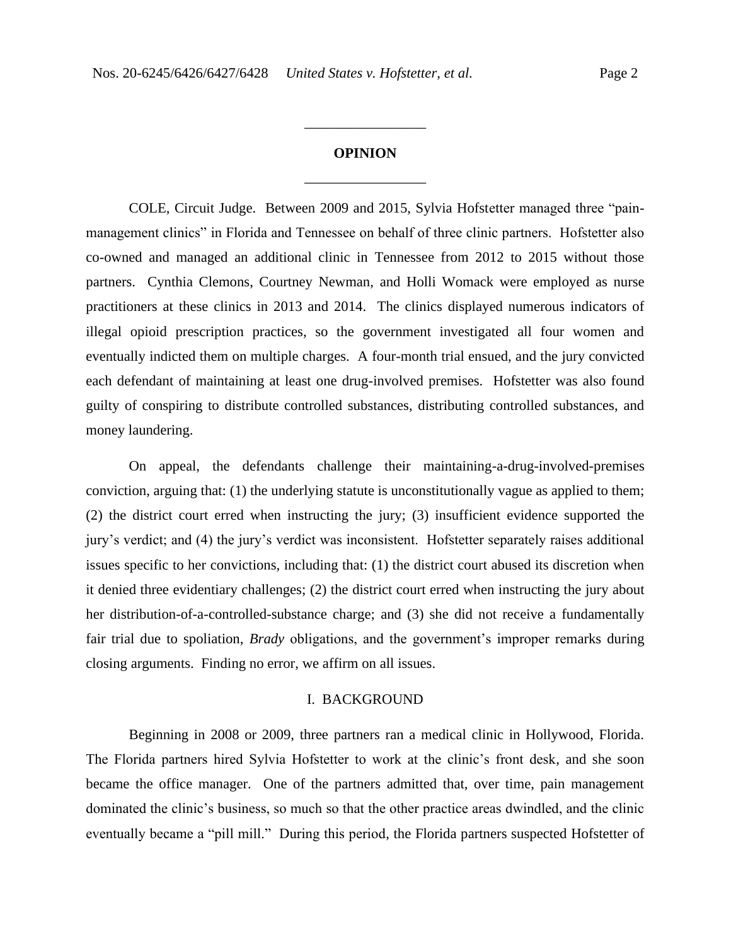# **OPINION** \_\_\_\_\_\_\_\_\_\_\_\_\_\_\_\_\_

\_\_\_\_\_\_\_\_\_\_\_\_\_\_\_\_\_

COLE, Circuit Judge. Between 2009 and 2015, Sylvia Hofstetter managed three "painmanagement clinics" in Florida and Tennessee on behalf of three clinic partners. Hofstetter also co-owned and managed an additional clinic in Tennessee from 2012 to 2015 without those partners. Cynthia Clemons, Courtney Newman, and Holli Womack were employed as nurse practitioners at these clinics in 2013 and 2014. The clinics displayed numerous indicators of illegal opioid prescription practices, so the government investigated all four women and eventually indicted them on multiple charges. A four-month trial ensued, and the jury convicted each defendant of maintaining at least one drug-involved premises. Hofstetter was also found guilty of conspiring to distribute controlled substances, distributing controlled substances, and money laundering.

On appeal, the defendants challenge their maintaining-a-drug-involved-premises conviction, arguing that: (1) the underlying statute is unconstitutionally vague as applied to them; (2) the district court erred when instructing the jury; (3) insufficient evidence supported the jury's verdict; and (4) the jury's verdict was inconsistent. Hofstetter separately raises additional issues specific to her convictions, including that: (1) the district court abused its discretion when it denied three evidentiary challenges; (2) the district court erred when instructing the jury about her distribution-of-a-controlled-substance charge; and (3) she did not receive a fundamentally fair trial due to spoliation, *Brady* obligations, and the government's improper remarks during closing arguments. Finding no error, we affirm on all issues.

#### I. BACKGROUND

Beginning in 2008 or 2009, three partners ran a medical clinic in Hollywood, Florida. The Florida partners hired Sylvia Hofstetter to work at the clinic's front desk, and she soon became the office manager. One of the partners admitted that, over time, pain management dominated the clinic's business, so much so that the other practice areas dwindled, and the clinic eventually became a "pill mill." During this period, the Florida partners suspected Hofstetter of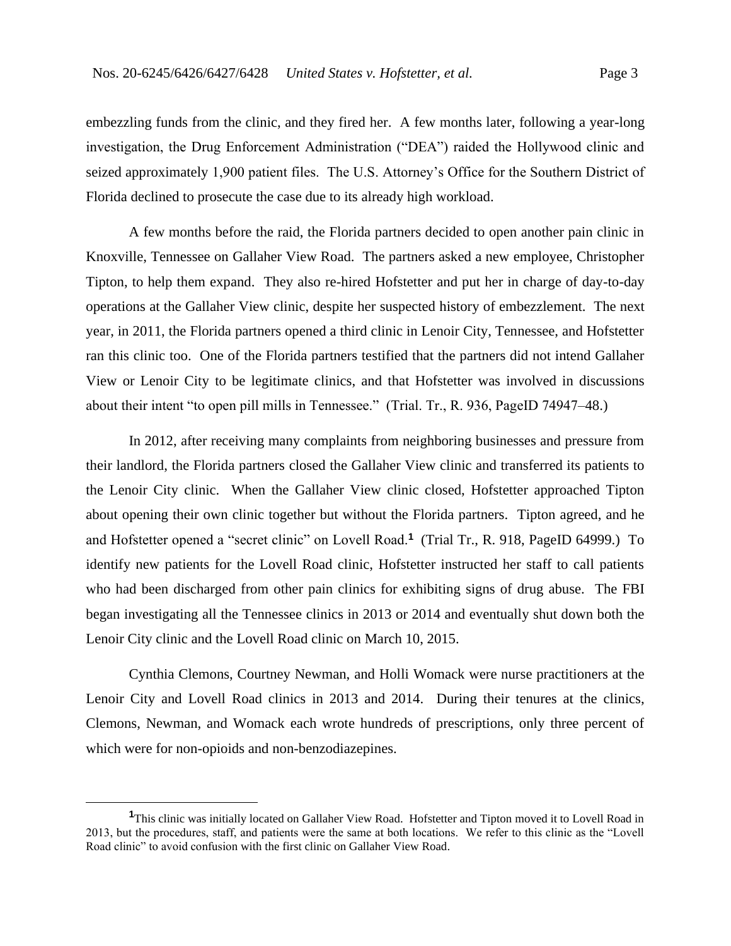embezzling funds from the clinic, and they fired her. A few months later, following a year-long investigation, the Drug Enforcement Administration ("DEA") raided the Hollywood clinic and seized approximately 1,900 patient files. The U.S. Attorney's Office for the Southern District of Florida declined to prosecute the case due to its already high workload.

A few months before the raid, the Florida partners decided to open another pain clinic in Knoxville, Tennessee on Gallaher View Road. The partners asked a new employee, Christopher Tipton, to help them expand. They also re-hired Hofstetter and put her in charge of day-to-day operations at the Gallaher View clinic, despite her suspected history of embezzlement. The next year, in 2011, the Florida partners opened a third clinic in Lenoir City, Tennessee, and Hofstetter ran this clinic too. One of the Florida partners testified that the partners did not intend Gallaher View or Lenoir City to be legitimate clinics, and that Hofstetter was involved in discussions about their intent "to open pill mills in Tennessee." (Trial. Tr., R. 936, PageID 74947–48.)

In 2012, after receiving many complaints from neighboring businesses and pressure from their landlord, the Florida partners closed the Gallaher View clinic and transferred its patients to the Lenoir City clinic. When the Gallaher View clinic closed, Hofstetter approached Tipton about opening their own clinic together but without the Florida partners. Tipton agreed, and he and Hofstetter opened a "secret clinic" on Lovell Road.**<sup>1</sup>** (Trial Tr., R. 918, PageID 64999.) To identify new patients for the Lovell Road clinic, Hofstetter instructed her staff to call patients who had been discharged from other pain clinics for exhibiting signs of drug abuse. The FBI began investigating all the Tennessee clinics in 2013 or 2014 and eventually shut down both the Lenoir City clinic and the Lovell Road clinic on March 10, 2015.

Cynthia Clemons, Courtney Newman, and Holli Womack were nurse practitioners at the Lenoir City and Lovell Road clinics in 2013 and 2014.During their tenures at the clinics, Clemons, Newman, and Womack each wrote hundreds of prescriptions, only three percent of which were for non-opioids and non-benzodiazepines.

**<sup>1</sup>**This clinic was initially located on Gallaher View Road. Hofstetter and Tipton moved it to Lovell Road in 2013, but the procedures, staff, and patients were the same at both locations. We refer to this clinic as the "Lovell Road clinic" to avoid confusion with the first clinic on Gallaher View Road.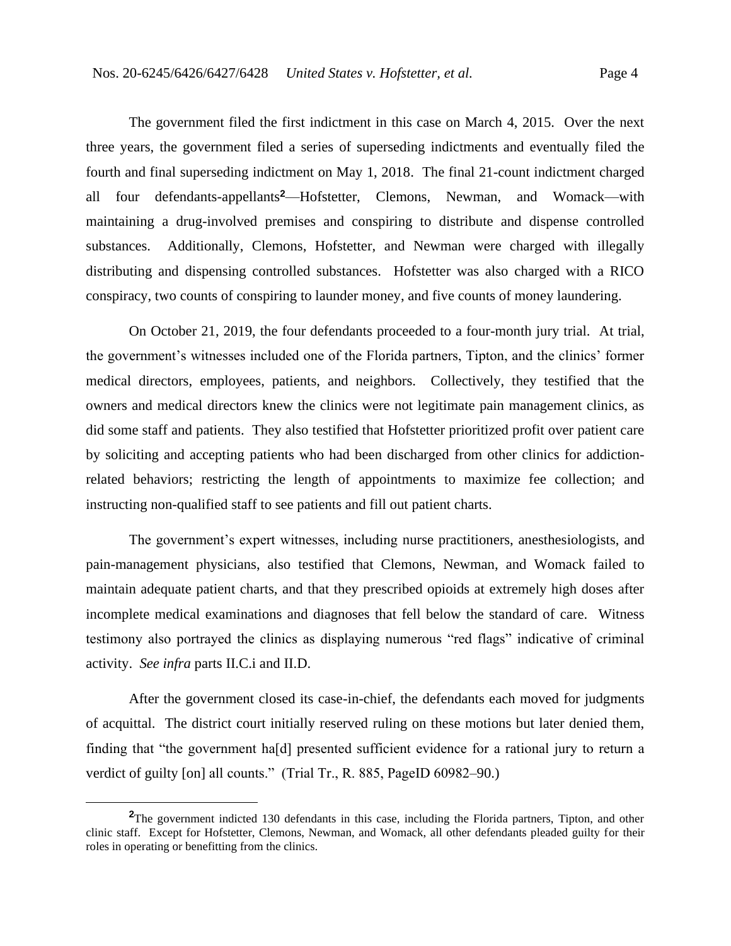The government filed the first indictment in this case on March 4, 2015. Over the next three years, the government filed a series of superseding indictments and eventually filed the fourth and final superseding indictment on May 1, 2018. The final 21-count indictment charged all four defendants-appellants**<sup>2</sup>**—Hofstetter, Clemons, Newman, and Womack—with maintaining a drug-involved premises and conspiring to distribute and dispense controlled substances. Additionally, Clemons, Hofstetter, and Newman were charged with illegally distributing and dispensing controlled substances. Hofstetter was also charged with a RICO conspiracy, two counts of conspiring to launder money, and five counts of money laundering.

On October 21, 2019, the four defendants proceeded to a four-month jury trial. At trial, the government's witnesses included one of the Florida partners, Tipton, and the clinics' former medical directors, employees, patients, and neighbors. Collectively, they testified that the owners and medical directors knew the clinics were not legitimate pain management clinics, as did some staff and patients. They also testified that Hofstetter prioritized profit over patient care by soliciting and accepting patients who had been discharged from other clinics for addictionrelated behaviors; restricting the length of appointments to maximize fee collection; and instructing non-qualified staff to see patients and fill out patient charts.

The government's expert witnesses, including nurse practitioners, anesthesiologists, and pain-management physicians, also testified that Clemons, Newman, and Womack failed to maintain adequate patient charts, and that they prescribed opioids at extremely high doses after incomplete medical examinations and diagnoses that fell below the standard of care.Witness testimony also portrayed the clinics as displaying numerous "red flags" indicative of criminal activity. *See infra* parts II.C.i and II.D.

After the government closed its case-in-chief, the defendants each moved for judgments of acquittal. The district court initially reserved ruling on these motions but later denied them, finding that "the government ha[d] presented sufficient evidence for a rational jury to return a verdict of guilty [on] all counts." (Trial Tr., R. 885, PageID 60982–90.)

**<sup>2</sup>**The government indicted 130 defendants in this case, including the Florida partners, Tipton, and other clinic staff. Except for Hofstetter, Clemons, Newman, and Womack, all other defendants pleaded guilty for their roles in operating or benefitting from the clinics.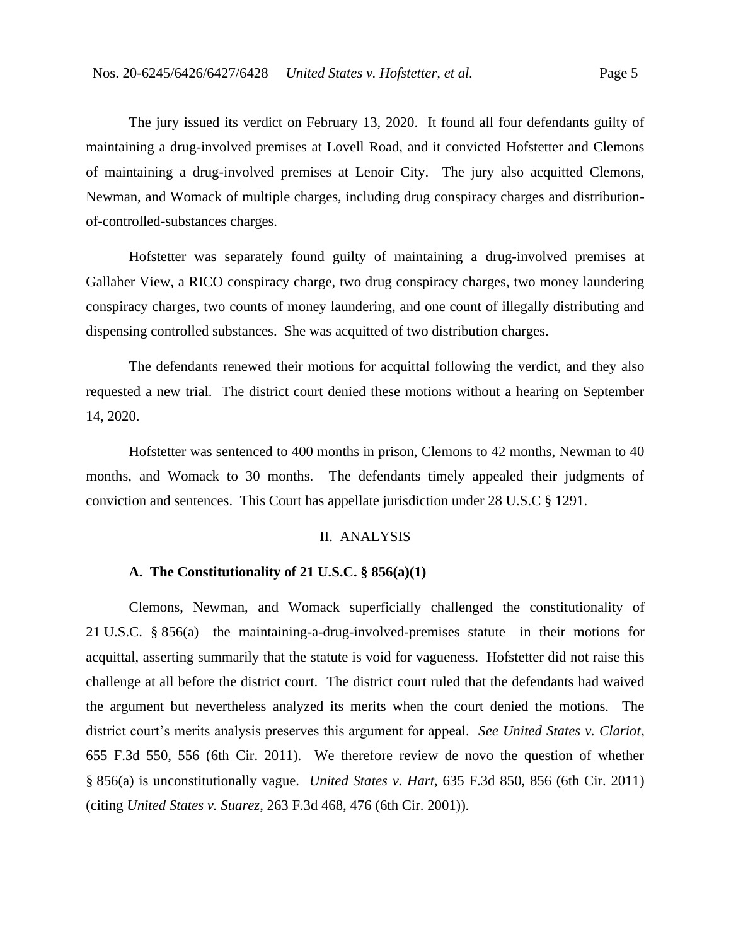The jury issued its verdict on February 13, 2020. It found all four defendants guilty of maintaining a drug-involved premises at Lovell Road, and it convicted Hofstetter and Clemons of maintaining a drug-involved premises at Lenoir City. The jury also acquitted Clemons, Newman, and Womack of multiple charges, including drug conspiracy charges and distributionof-controlled-substances charges.

Hofstetter was separately found guilty of maintaining a drug-involved premises at Gallaher View, a RICO conspiracy charge, two drug conspiracy charges, two money laundering conspiracy charges, two counts of money laundering, and one count of illegally distributing and dispensing controlled substances. She was acquitted of two distribution charges.

The defendants renewed their motions for acquittal following the verdict, and they also requested a new trial. The district court denied these motions without a hearing on September 14, 2020.

Hofstetter was sentenced to 400 months in prison, Clemons to 42 months, Newman to 40 months, and Womack to 30 months. The defendants timely appealed their judgments of conviction and sentences. This Court has appellate jurisdiction under 28 U.S.C § 1291.

#### II. ANALYSIS

# **A. The Constitutionality of 21 U.S.C. § 856(a)(1)**

Clemons, Newman, and Womack superficially challenged the constitutionality of 21 U.S.C. § 856(a)—the maintaining-a-drug-involved-premises statute—in their motions for acquittal, asserting summarily that the statute is void for vagueness. Hofstetter did not raise this challenge at all before the district court.The district court ruled that the defendants had waived the argument but nevertheless analyzed its merits when the court denied the motions. The district court's merits analysis preserves this argument for appeal. *See United States v. Clariot*, 655 F.3d 550, 556 (6th Cir. 2011). We therefore review de novo the question of whether § 856(a) is unconstitutionally vague. *United States v. Hart*, 635 F.3d 850, 856 (6th Cir. 2011) (citing *United States v. Suarez*, 263 F.3d 468, 476 (6th Cir. 2001)).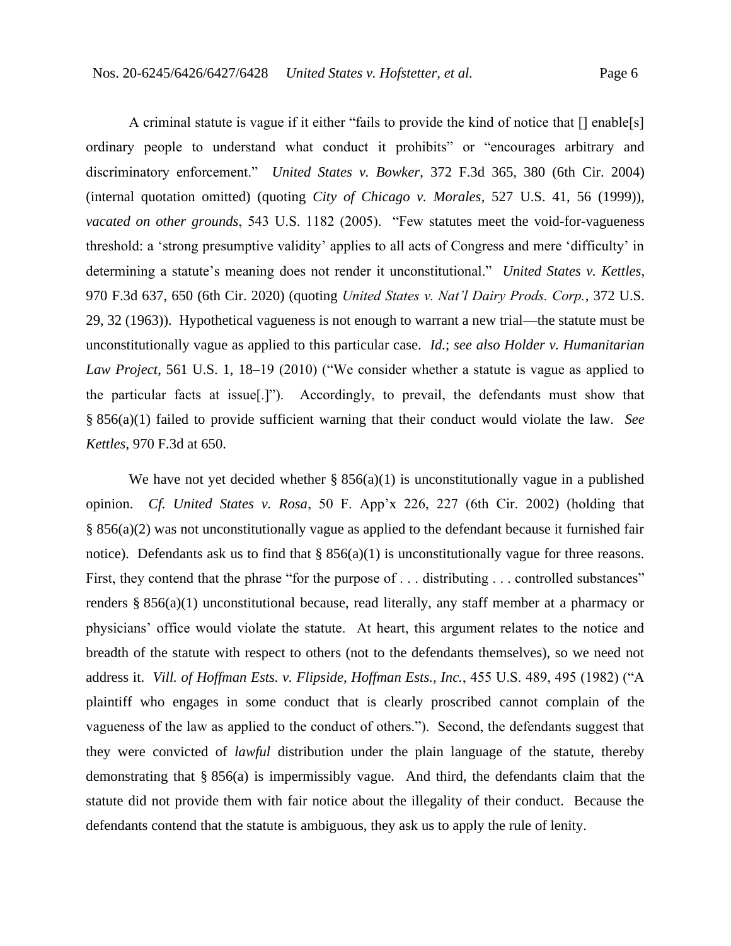A criminal statute is vague if it either "fails to provide the kind of notice that [] enable[s] ordinary people to understand what conduct it prohibits" or "encourages arbitrary and discriminatory enforcement." *United States v. Bowker*, 372 F.3d 365, 380 (6th Cir. 2004) (internal quotation omitted) (quoting *City of Chicago v. Morales*, 527 U.S. 41, 56 (1999)), *vacated on other grounds*, 543 U.S. 1182 (2005). "Few statutes meet the void-for-vagueness threshold: a 'strong presumptive validity' applies to all acts of Congress and mere 'difficulty' in determining a statute's meaning does not render it unconstitutional." *United States v. Kettles*, 970 F.3d 637, 650 (6th Cir. 2020) (quoting *United States v. Nat'l Dairy Prods. Corp.*, 372 U.S. 29, 32 (1963)). Hypothetical vagueness is not enough to warrant a new trial—the statute must be unconstitutionally vague as applied to this particular case. *Id.*; *see also Holder v. Humanitarian Law Project*, 561 U.S. 1, 18–19 (2010) ("We consider whether a statute is vague as applied to the particular facts at issue[.]"). Accordingly, to prevail, the defendants must show that § 856(a)(1) failed to provide sufficient warning that their conduct would violate the law. *See Kettles*, 970 F.3d at 650.

We have not yet decided whether  $\S$  856(a)(1) is unconstitutionally vague in a published opinion. *Cf. United States v. Rosa*, 50 F. App'x 226, 227 (6th Cir. 2002) (holding that § 856(a)(2) was not unconstitutionally vague as applied to the defendant because it furnished fair notice). Defendants ask us to find that § 856(a)(1) is unconstitutionally vague for three reasons. First, they contend that the phrase "for the purpose of . . . distributing . . . controlled substances" renders § 856(a)(1) unconstitutional because, read literally, any staff member at a pharmacy or physicians' office would violate the statute. At heart, this argument relates to the notice and breadth of the statute with respect to others (not to the defendants themselves), so we need not address it. *Vill. of Hoffman Ests. v. Flipside, Hoffman Ests., Inc.*, 455 U.S. 489, 495 (1982) ("A plaintiff who engages in some conduct that is clearly proscribed cannot complain of the vagueness of the law as applied to the conduct of others."). Second, the defendants suggest that they were convicted of *lawful* distribution under the plain language of the statute, thereby demonstrating that § 856(a) is impermissibly vague. And third, the defendants claim that the statute did not provide them with fair notice about the illegality of their conduct. Because the defendants contend that the statute is ambiguous, they ask us to apply the rule of lenity.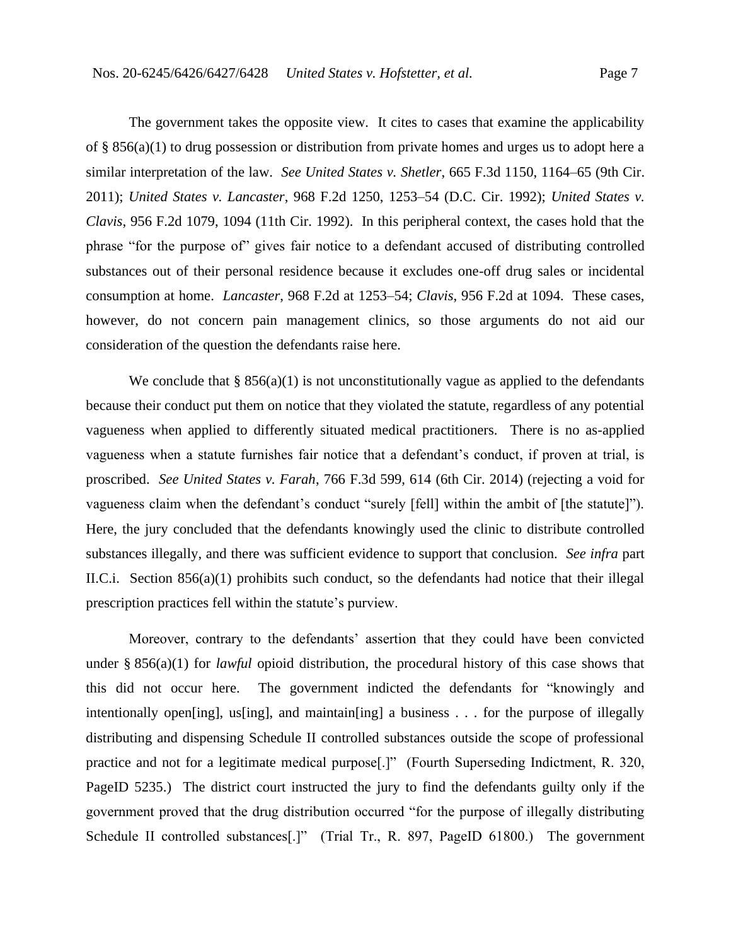The government takes the opposite view. It cites to cases that examine the applicability of § 856(a)(1) to drug possession or distribution from private homes and urges us to adopt here a similar interpretation of the law. *See United States v. Shetler*, 665 F.3d 1150, 1164–65 (9th Cir. 2011); *United States v. Lancaster*, 968 F.2d 1250, 1253–54 (D.C. Cir. 1992); *United States v. Clavis*, 956 F.2d 1079, 1094 (11th Cir. 1992). In this peripheral context, the cases hold that the phrase "for the purpose of" gives fair notice to a defendant accused of distributing controlled substances out of their personal residence because it excludes one-off drug sales or incidental consumption at home. *Lancaster*, 968 F.2d at 1253–54; *Clavis*, 956 F.2d at 1094. These cases, however, do not concern pain management clinics, so those arguments do not aid our consideration of the question the defendants raise here.

We conclude that  $\S 856(a)(1)$  is not unconstitutionally vague as applied to the defendants because their conduct put them on notice that they violated the statute, regardless of any potential vagueness when applied to differently situated medical practitioners.There is no as-applied vagueness when a statute furnishes fair notice that a defendant's conduct, if proven at trial, is proscribed. *See United States v. Farah*, 766 F.3d 599, 614 (6th Cir. 2014) (rejecting a void for vagueness claim when the defendant's conduct "surely [fell] within the ambit of [the statute]"). Here, the jury concluded that the defendants knowingly used the clinic to distribute controlled substances illegally, and there was sufficient evidence to support that conclusion. *See infra* part II.C.i. Section 856(a)(1) prohibits such conduct, so the defendants had notice that their illegal prescription practices fell within the statute's purview.

Moreover, contrary to the defendants' assertion that they could have been convicted under § 856(a)(1) for *lawful* opioid distribution, the procedural history of this case shows that this did not occur here. The government indicted the defendants for "knowingly and intentionally open[ing], us[ing], and maintain[ing] a business . . . for the purpose of illegally distributing and dispensing Schedule II controlled substances outside the scope of professional practice and not for a legitimate medical purpose[.]" (Fourth Superseding Indictment, R. 320, PageID 5235.) The district court instructed the jury to find the defendants guilty only if the government proved that the drug distribution occurred "for the purpose of illegally distributing Schedule II controlled substances[.]" (Trial Tr., R. 897, PageID 61800.)The government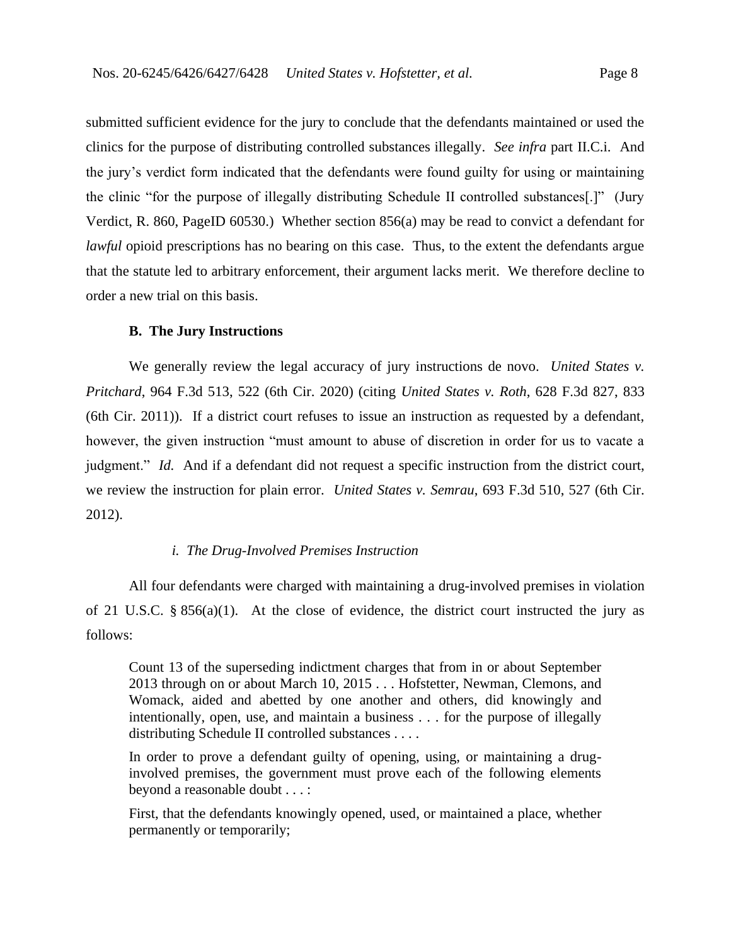submitted sufficient evidence for the jury to conclude that the defendants maintained or used the clinics for the purpose of distributing controlled substances illegally. *See infra* part II.C.i. And the jury's verdict form indicated that the defendants were found guilty for using or maintaining the clinic "for the purpose of illegally distributing Schedule II controlled substances[.]" (Jury Verdict, R. 860, PageID 60530.) Whether section 856(a) may be read to convict a defendant for *lawful* opioid prescriptions has no bearing on this case. Thus, to the extent the defendants argue that the statute led to arbitrary enforcement, their argument lacks merit. We therefore decline to order a new trial on this basis.

#### **B. The Jury Instructions**

We generally review the legal accuracy of jury instructions de novo. *United States v. Pritchard*, 964 F.3d 513, 522 (6th Cir. 2020) (citing *United States v. Roth*, 628 F.3d 827, 833 (6th Cir. 2011)). If a district court refuses to issue an instruction as requested by a defendant, however, the given instruction "must amount to abuse of discretion in order for us to vacate a judgment." *Id.* And if a defendant did not request a specific instruction from the district court, we review the instruction for plain error. *United States v. Semrau*, 693 F.3d 510, 527 (6th Cir. 2012).

## *i. The Drug-Involved Premises Instruction*

All four defendants were charged with maintaining a drug-involved premises in violation of 21 U.S.C. § 856(a)(1). At the close of evidence, the district court instructed the jury as follows:

Count 13 of the superseding indictment charges that from in or about September 2013 through on or about March 10, 2015 . . . Hofstetter, Newman, Clemons, and Womack, aided and abetted by one another and others, did knowingly and intentionally, open, use, and maintain a business . . . for the purpose of illegally distributing Schedule II controlled substances . . . .

In order to prove a defendant guilty of opening, using, or maintaining a druginvolved premises, the government must prove each of the following elements beyond a reasonable doubt . . . :

First, that the defendants knowingly opened, used, or maintained a place, whether permanently or temporarily;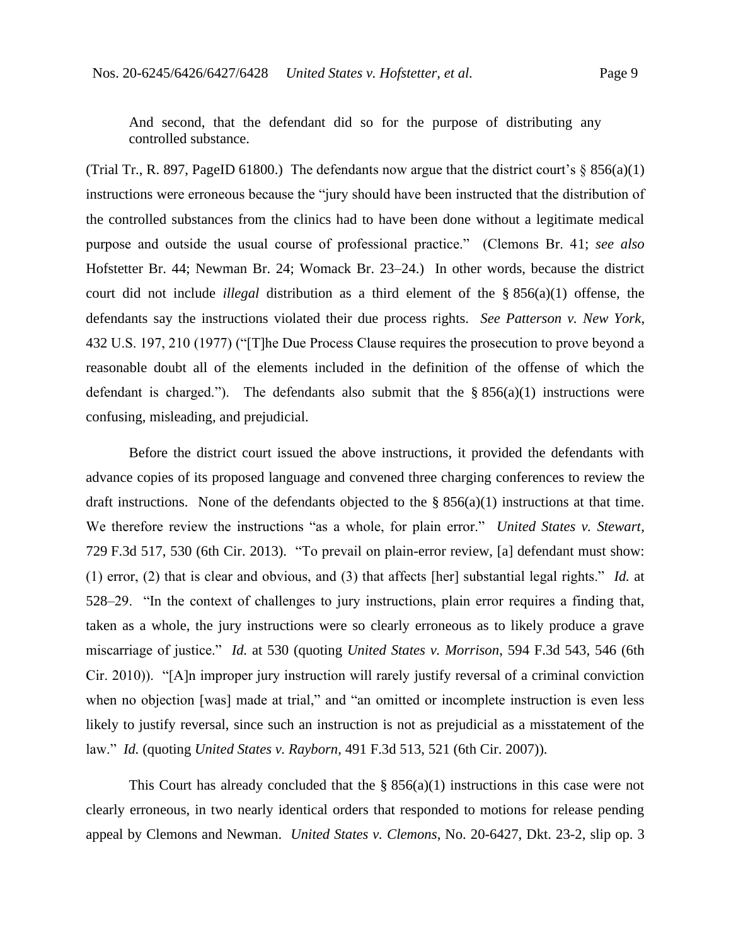And second, that the defendant did so for the purpose of distributing any controlled substance.

(Trial Tr., R. 897, PageID 61800.) The defendants now argue that the district court's  $\S$  856(a)(1) instructions were erroneous because the "jury should have been instructed that the distribution of the controlled substances from the clinics had to have been done without a legitimate medical purpose and outside the usual course of professional practice." (Clemons Br. 41; *see also*  Hofstetter Br. 44; Newman Br. 24; Womack Br. 23–24.) In other words, because the district court did not include *illegal* distribution as a third element of the § 856(a)(1) offense, the defendants say the instructions violated their due process rights.*See Patterson v. New York*, 432 U.S. 197, 210 (1977) ("[T]he Due Process Clause requires the prosecution to prove beyond a reasonable doubt all of the elements included in the definition of the offense of which the defendant is charged."). The defendants also submit that the  $\S$  856(a)(1) instructions were confusing, misleading, and prejudicial.

Before the district court issued the above instructions, it provided the defendants with advance copies of its proposed language and convened three charging conferences to review the draft instructions.None of the defendants objected to the § 856(a)(1) instructions at that time. We therefore review the instructions "as a whole, for plain error." *United States v. Stewart*, 729 F.3d 517, 530 (6th Cir. 2013). "To prevail on plain-error review, [a] defendant must show: (1) error, (2) that is clear and obvious, and (3) that affects [her] substantial legal rights." *Id.* at 528–29. "In the context of challenges to jury instructions, plain error requires a finding that, taken as a whole, the jury instructions were so clearly erroneous as to likely produce a grave miscarriage of justice." *Id.* at 530 (quoting *United States v. Morrison*, 594 F.3d 543, 546 (6th Cir. 2010)). "[A]n improper jury instruction will rarely justify reversal of a criminal conviction when no objection [was] made at trial," and "an omitted or incomplete instruction is even less likely to justify reversal, since such an instruction is not as prejudicial as a misstatement of the law." *Id.* (quoting *United States v. Rayborn*, 491 F.3d 513, 521 (6th Cir. 2007)).

This Court has already concluded that the  $\S$  856(a)(1) instructions in this case were not clearly erroneous, in two nearly identical orders that responded to motions for release pending appeal by Clemons and Newman. *United States v. Clemons*, No. 20-6427, Dkt. 23-2, slip op. 3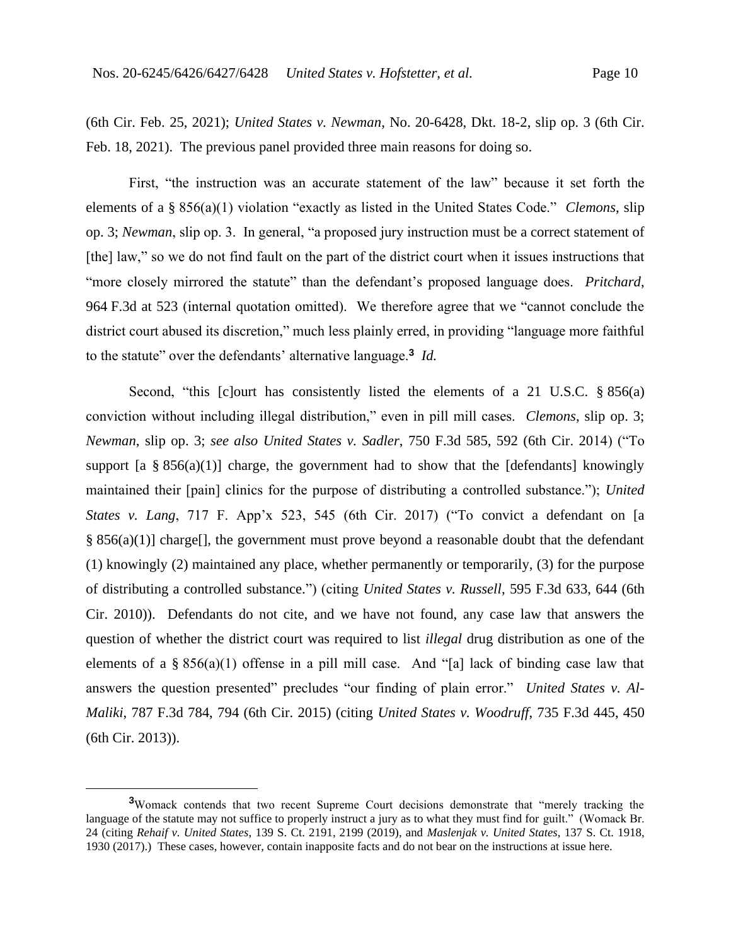(6th Cir. Feb. 25, 2021); *United States v. Newman*, No. 20-6428, Dkt. 18-2, slip op. 3 (6th Cir. Feb. 18, 2021). The previous panel provided three main reasons for doing so.

First, "the instruction was an accurate statement of the law" because it set forth the elements of a § 856(a)(1) violation "exactly as listed in the United States Code." *Clemons*, slip op. 3; *Newman*, slip op. 3. In general, "a proposed jury instruction must be a correct statement of [the] law," so we do not find fault on the part of the district court when it issues instructions that "more closely mirrored the statute" than the defendant's proposed language does. *Pritchard*, 964 F.3d at 523 (internal quotation omitted). We therefore agree that we "cannot conclude the district court abused its discretion," much less plainly erred, in providing "language more faithful to the statute" over the defendants' alternative language.**<sup>3</sup>** *Id.*

Second, "this [c]ourt has consistently listed the elements of a 21 U.S.C. § 856(a) conviction without including illegal distribution," even in pill mill cases. *Clemons*, slip op. 3; *Newman*, slip op. 3; *see also United States v. Sadler*, 750 F.3d 585, 592 (6th Cir. 2014) ("To support [a  $\S 856(a)(1)$ ] charge, the government had to show that the [defendants] knowingly maintained their [pain] clinics for the purpose of distributing a controlled substance."); *United States v. Lang*, 717 F. App'x 523, 545 (6th Cir. 2017) ("To convict a defendant on [a  $§ 856(a)(1)]$  charge[], the government must prove beyond a reasonable doubt that the defendant (1) knowingly (2) maintained any place, whether permanently or temporarily, (3) for the purpose of distributing a controlled substance.") (citing *United States v. Russell*, 595 F.3d 633, 644 (6th Cir. 2010)). Defendants do not cite, and we have not found, any case law that answers the question of whether the district court was required to list *illegal* drug distribution as one of the elements of a § 856(a)(1) offense in a pill mill case. And "[a] lack of binding case law that answers the question presented" precludes "our finding of plain error." *United States v. Al-Maliki*, 787 F.3d 784, 794 (6th Cir. 2015) (citing *United States v. Woodruff*, 735 F.3d 445, 450 (6th Cir. 2013)).

**<sup>3</sup>**Womack contends that two recent Supreme Court decisions demonstrate that "merely tracking the language of the statute may not suffice to properly instruct a jury as to what they must find for guilt." (Womack Br. 24 (citing *Rehaif v. United States*, 139 S. Ct. 2191, 2199 (2019), and *Maslenjak v. United States*, 137 S. Ct. 1918, 1930 (2017).) These cases, however, contain inapposite facts and do not bear on the instructions at issue here.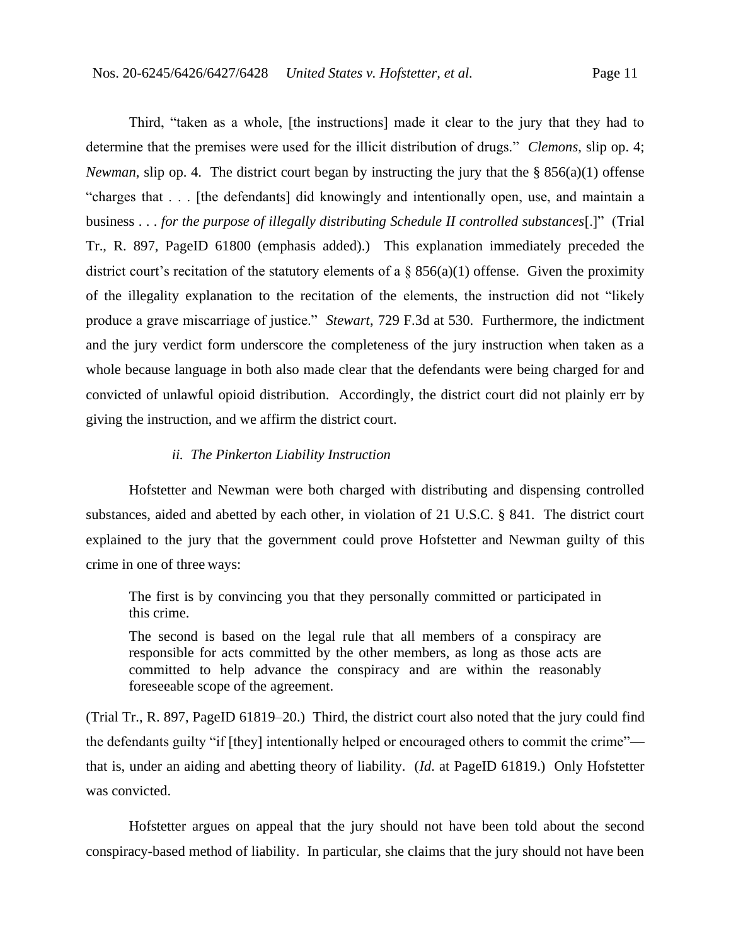Third, "taken as a whole, [the instructions] made it clear to the jury that they had to determine that the premises were used for the illicit distribution of drugs." *Clemons*, slip op. 4; *Newman*, slip op. 4. The district court began by instructing the jury that the § 856(a)(1) offense "charges that . . . [the defendants] did knowingly and intentionally open, use, and maintain a business . . . *for the purpose of illegally distributing Schedule II controlled substances*[.]" (Trial Tr., R. 897, PageID 61800 (emphasis added).) This explanation immediately preceded the district court's recitation of the statutory elements of a  $\S$  856(a)(1) offense. Given the proximity of the illegality explanation to the recitation of the elements, the instruction did not "likely produce a grave miscarriage of justice."*Stewart*, 729 F.3d at 530.Furthermore, the indictment and the jury verdict form underscore the completeness of the jury instruction when taken as a whole because language in both also made clear that the defendants were being charged for and convicted of unlawful opioid distribution. Accordingly, the district court did not plainly err by giving the instruction, and we affirm the district court.

## *ii. The Pinkerton Liability Instruction*

Hofstetter and Newman were both charged with distributing and dispensing controlled substances, aided and abetted by each other, in violation of 21 U.S.C. § 841. The district court explained to the jury that the government could prove Hofstetter and Newman guilty of this crime in one of three ways:

The first is by convincing you that they personally committed or participated in this crime.

The second is based on the legal rule that all members of a conspiracy are responsible for acts committed by the other members, as long as those acts are committed to help advance the conspiracy and are within the reasonably foreseeable scope of the agreement.

(Trial Tr., R. 897, PageID 61819–20.) Third, the district court also noted that the jury could find the defendants guilty "if [they] intentionally helped or encouraged others to commit the crime" that is, under an aiding and abetting theory of liability. (*Id*. at PageID 61819.) Only Hofstetter was convicted.

Hofstetter argues on appeal that the jury should not have been told about the second conspiracy-based method of liability. In particular, she claims that the jury should not have been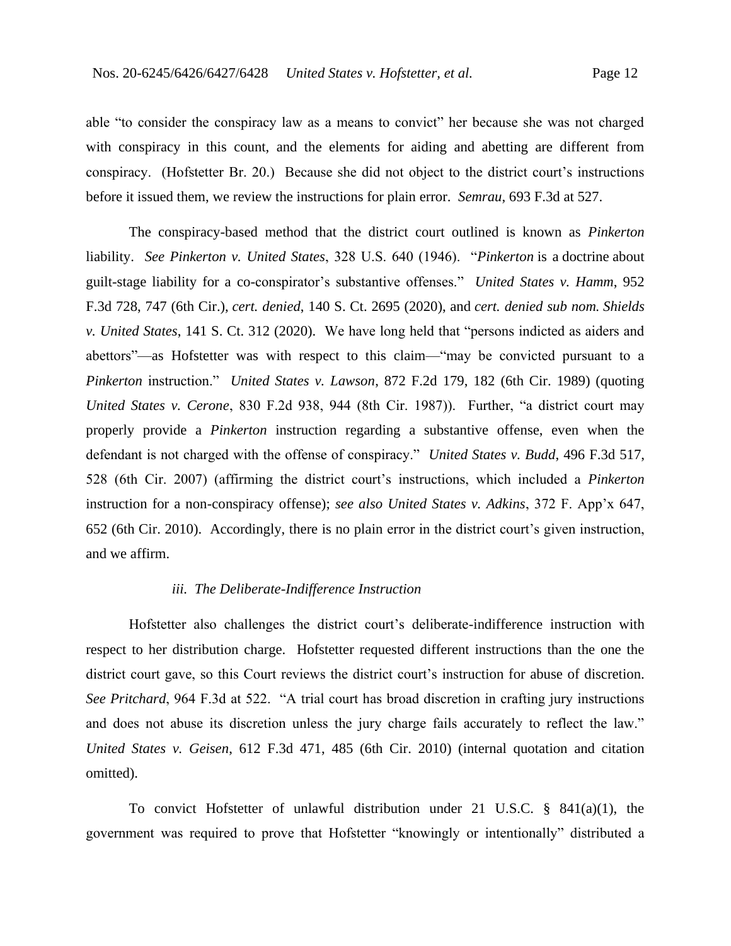able "to consider the conspiracy law as a means to convict" her because she was not charged with conspiracy in this count, and the elements for aiding and abetting are different from conspiracy. (Hofstetter Br. 20.) Because she did not object to the district court's instructions before it issued them, we review the instructions for plain error. *Semrau*, 693 F.3d at 527.

The conspiracy-based method that the district court outlined is known as *Pinkerton* liability. *See Pinkerton v. United States*, 328 U.S. 640 (1946). "*Pinkerton* is a doctrine about guilt-stage liability for a co-conspirator's substantive offenses." *United States v. Hamm*, 952 F.3d 728, 747 (6th Cir.), *cert. denied*, 140 S. Ct. 2695 (2020), and *cert. denied sub nom. Shields v. United States*, 141 S. Ct. 312 (2020). We have long held that "persons indicted as aiders and abettors"—as Hofstetter was with respect to this claim—"may be convicted pursuant to a *Pinkerton* instruction." *United States v. Lawson*, 872 F.2d 179, 182 (6th Cir. 1989) (quoting *United States v. Cerone*, 830 F.2d 938, 944 (8th Cir. 1987)). Further, "a district court may properly provide a *Pinkerton* instruction regarding a substantive offense, even when the defendant is not charged with the offense of conspiracy." *United States v. Budd*, 496 F.3d 517, 528 (6th Cir. 2007) (affirming the district court's instructions, which included a *Pinkerton*  instruction for a non-conspiracy offense); *see also United States v. Adkins*, 372 F. App'x 647, 652 (6th Cir. 2010). Accordingly, there is no plain error in the district court's given instruction, and we affirm.

#### *iii. The Deliberate-Indifference Instruction*

Hofstetter also challenges the district court's deliberate-indifference instruction with respect to her distribution charge. Hofstetter requested different instructions than the one the district court gave, so this Court reviews the district court's instruction for abuse of discretion. *See Pritchard*, 964 F.3d at 522. "A trial court has broad discretion in crafting jury instructions and does not abuse its discretion unless the jury charge fails accurately to reflect the law." *United States v. Geisen*, 612 F.3d 471, 485 (6th Cir. 2010) (internal quotation and citation omitted).

To convict Hofstetter of unlawful distribution under 21 U.S.C. § 841(a)(1), the government was required to prove that Hofstetter "knowingly or intentionally" distributed a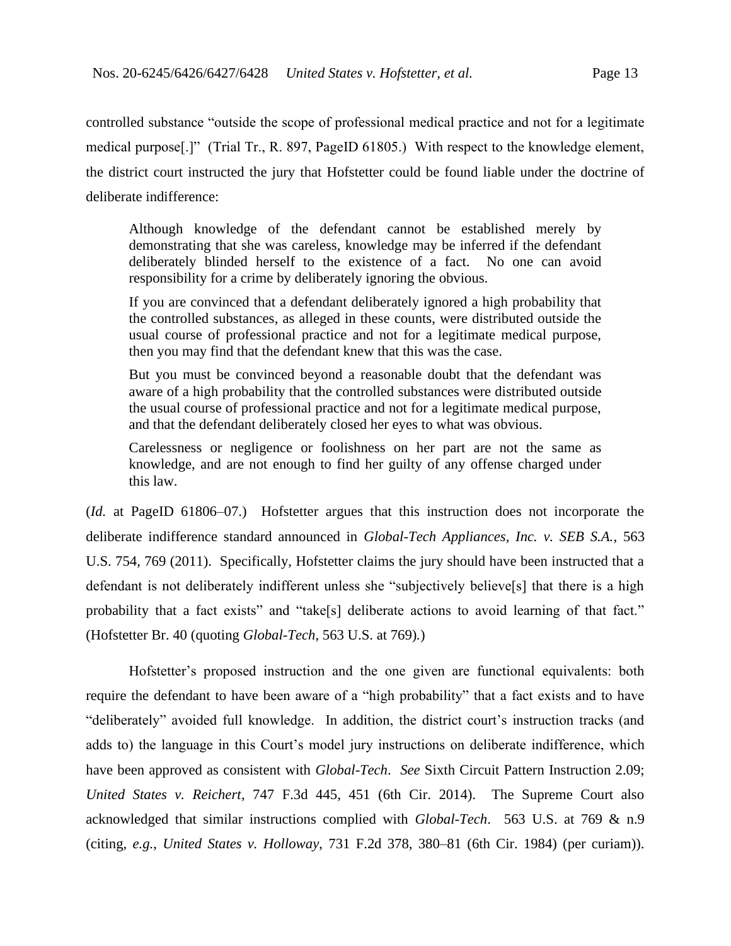controlled substance "outside the scope of professional medical practice and not for a legitimate medical purpose[.]" (Trial Tr., R. 897, PageID 61805.) With respect to the knowledge element, the district court instructed the jury that Hofstetter could be found liable under the doctrine of deliberate indifference:

Although knowledge of the defendant cannot be established merely by demonstrating that she was careless, knowledge may be inferred if the defendant deliberately blinded herself to the existence of a fact. No one can avoid responsibility for a crime by deliberately ignoring the obvious.

If you are convinced that a defendant deliberately ignored a high probability that the controlled substances, as alleged in these counts, were distributed outside the usual course of professional practice and not for a legitimate medical purpose, then you may find that the defendant knew that this was the case.

But you must be convinced beyond a reasonable doubt that the defendant was aware of a high probability that the controlled substances were distributed outside the usual course of professional practice and not for a legitimate medical purpose, and that the defendant deliberately closed her eyes to what was obvious.

Carelessness or negligence or foolishness on her part are not the same as knowledge, and are not enough to find her guilty of any offense charged under this law.

(*Id.* at PageID 61806–07.) Hofstetter argues that this instruction does not incorporate the deliberate indifference standard announced in *Global-Tech Appliances, Inc. v. SEB S.A.*, 563 U.S. 754, 769 (2011). Specifically, Hofstetter claims the jury should have been instructed that a defendant is not deliberately indifferent unless she "subjectively believe[s] that there is a high probability that a fact exists" and "take[s] deliberate actions to avoid learning of that fact." (Hofstetter Br. 40 (quoting *Global-Tech*, 563 U.S. at 769)*.*)

Hofstetter's proposed instruction and the one given are functional equivalents: both require the defendant to have been aware of a "high probability" that a fact exists and to have "deliberately" avoided full knowledge. In addition, the district court's instruction tracks (and adds to) the language in this Court's model jury instructions on deliberate indifference, which have been approved as consistent with *Global-Tech*. *See* Sixth Circuit Pattern Instruction 2.09; *United States v. Reichert*, 747 F.3d 445, 451 (6th Cir. 2014). The Supreme Court also acknowledged that similar instructions complied with *Global-Tech*. 563 U.S. at 769 & n.9 (citing, *e.g.*, *United States v. Holloway*, 731 F.2d 378, 380–81 (6th Cir. 1984) (per curiam)).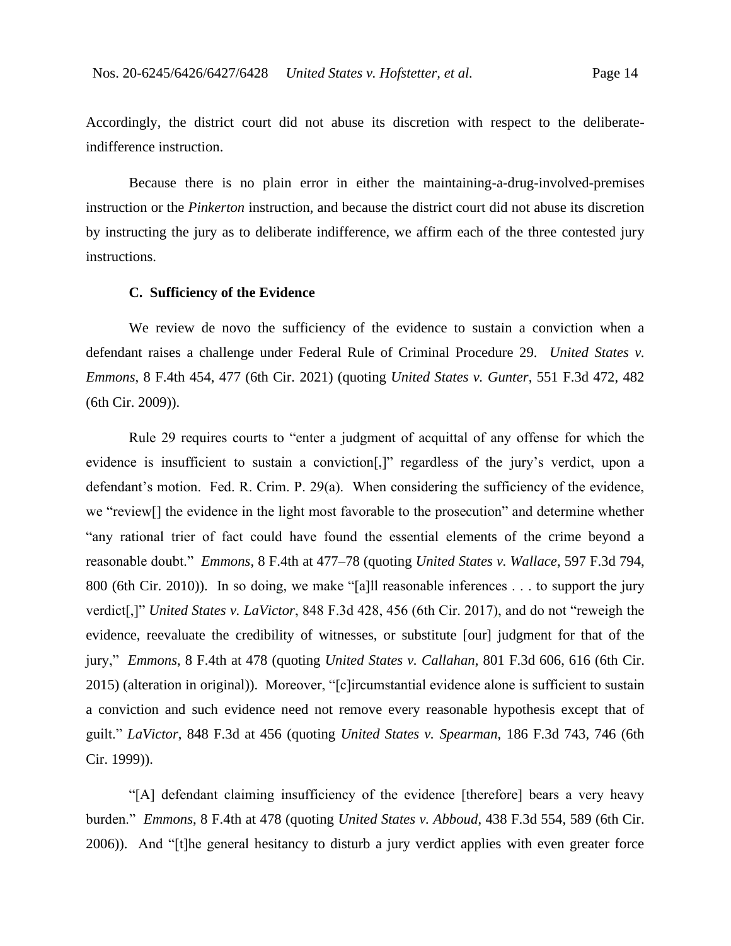Accordingly, the district court did not abuse its discretion with respect to the deliberateindifference instruction.

Because there is no plain error in either the maintaining-a-drug-involved-premises instruction or the *Pinkerton* instruction, and because the district court did not abuse its discretion by instructing the jury as to deliberate indifference, we affirm each of the three contested jury instructions.

#### **C. Sufficiency of the Evidence**

We review de novo the sufficiency of the evidence to sustain a conviction when a defendant raises a challenge under Federal Rule of Criminal Procedure 29. *United States v. Emmons*, 8 F.4th 454, 477 (6th Cir. 2021) (quoting *United States v. Gunter*, 551 F.3d 472, 482 (6th Cir. 2009)).

Rule 29 requires courts to "enter a judgment of acquittal of any offense for which the evidence is insufficient to sustain a conviction[,]" regardless of the jury's verdict, upon a defendant's motion. Fed. R. Crim. P. 29(a). When considering the sufficiency of the evidence, we "review[] the evidence in the light most favorable to the prosecution" and determine whether "any rational trier of fact could have found the essential elements of the crime beyond a reasonable doubt." *Emmons*, 8 F.4th at 477–78 (quoting *United States v. Wallace*, 597 F.3d 794, 800 (6th Cir. 2010)). In so doing, we make "[a]ll reasonable inferences . . . to support the jury verdict[,]" *United States v. LaVictor*, 848 F.3d 428, 456 (6th Cir. 2017), and do not "reweigh the evidence, reevaluate the credibility of witnesses, or substitute [our] judgment for that of the jury," *Emmons*, 8 F.4th at 478 (quoting *United States v. Callahan*, 801 F.3d 606, 616 (6th Cir. 2015) (alteration in original)). Moreover, "[c]ircumstantial evidence alone is sufficient to sustain a conviction and such evidence need not remove every reasonable hypothesis except that of guilt." *LaVictor*, 848 F.3d at 456 (quoting *United States v. Spearman*, 186 F.3d 743, 746 (6th Cir. 1999)).

"[A] defendant claiming insufficiency of the evidence [therefore] bears a very heavy burden." *Emmons*, 8 F.4th at 478 (quoting *United States v. Abboud*, 438 F.3d 554, 589 (6th Cir. 2006)).And "[t]he general hesitancy to disturb a jury verdict applies with even greater force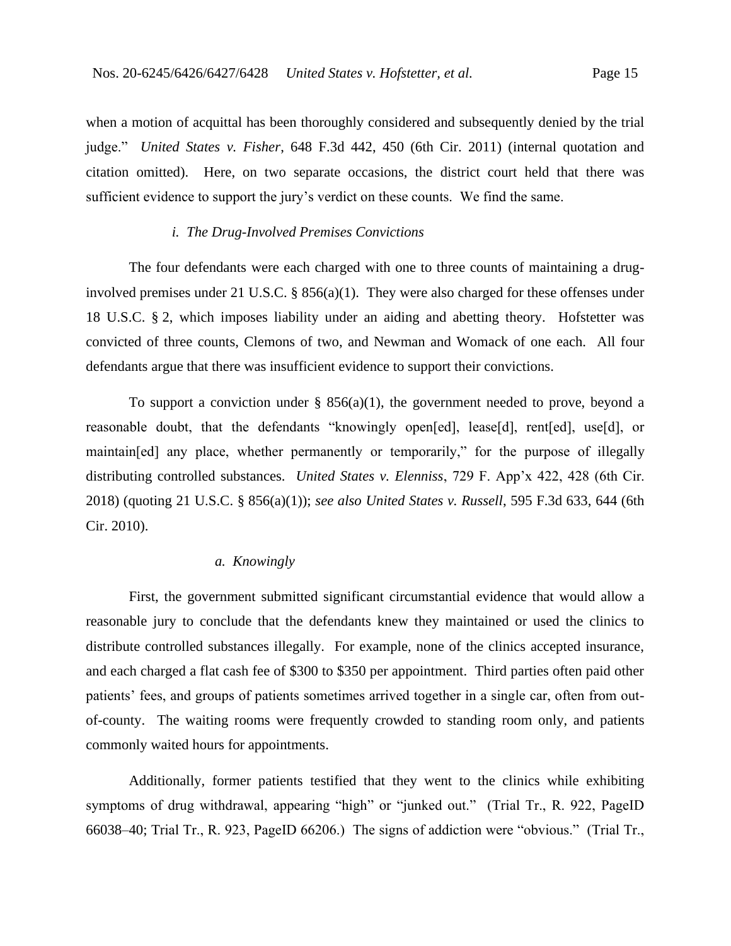when a motion of acquittal has been thoroughly considered and subsequently denied by the trial judge." *United States v. Fisher*, 648 F.3d 442, 450 (6th Cir. 2011) (internal quotation and citation omitted). Here, on two separate occasions, the district court held that there was sufficient evidence to support the jury's verdict on these counts. We find the same.

# *i. The Drug-Involved Premises Convictions*

The four defendants were each charged with one to three counts of maintaining a druginvolved premises under 21 U.S.C. §  $856(a)(1)$ . They were also charged for these offenses under 18 U.S.C. § 2, which imposes liability under an aiding and abetting theory. Hofstetter was convicted of three counts, Clemons of two, and Newman and Womack of one each.All four defendants argue that there was insufficient evidence to support their convictions.

To support a conviction under  $\S$  856(a)(1), the government needed to prove, beyond a reasonable doubt, that the defendants "knowingly open[ed], lease[d], rent[ed], use[d], or maintain[ed] any place, whether permanently or temporarily," for the purpose of illegally distributing controlled substances. *United States v. Elenniss*, 729 F. App'x 422, 428 (6th Cir. 2018) (quoting 21 U.S.C. § 856(a)(1)); *see also United States v. Russell*, 595 F.3d 633, 644 (6th Cir. 2010).

# *a. Knowingly*

First, the government submitted significant circumstantial evidence that would allow a reasonable jury to conclude that the defendants knew they maintained or used the clinics to distribute controlled substances illegally. For example, none of the clinics accepted insurance, and each charged a flat cash fee of \$300 to \$350 per appointment. Third parties often paid other patients' fees, and groups of patients sometimes arrived together in a single car, often from outof-county. The waiting rooms were frequently crowded to standing room only, and patients commonly waited hours for appointments.

Additionally, former patients testified that they went to the clinics while exhibiting symptoms of drug withdrawal, appearing "high" or "junked out." (Trial Tr., R. 922, PageID 66038–40; Trial Tr., R. 923, PageID 66206.) The signs of addiction were "obvious." (Trial Tr.,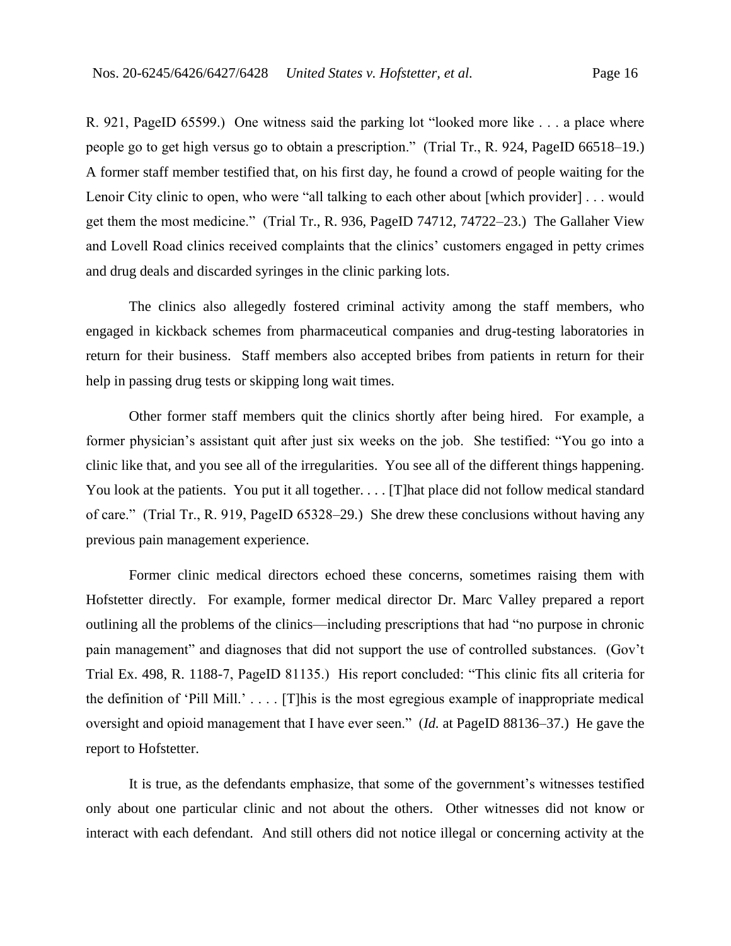R. 921, PageID 65599.) One witness said the parking lot "looked more like . . . a place where people go to get high versus go to obtain a prescription." (Trial Tr., R. 924, PageID 66518–19.) A former staff member testified that, on his first day, he found a crowd of people waiting for the Lenoir City clinic to open, who were "all talking to each other about [which provider] . . . would get them the most medicine." (Trial Tr., R. 936, PageID 74712, 74722–23.) The Gallaher View and Lovell Road clinics received complaints that the clinics' customers engaged in petty crimes and drug deals and discarded syringes in the clinic parking lots.

The clinics also allegedly fostered criminal activity among the staff members, who engaged in kickback schemes from pharmaceutical companies and drug-testing laboratories in return for their business. Staff members also accepted bribes from patients in return for their help in passing drug tests or skipping long wait times.

Other former staff members quit the clinics shortly after being hired. For example, a former physician's assistant quit after just six weeks on the job. She testified: "You go into a clinic like that, and you see all of the irregularities. You see all of the different things happening. You look at the patients. You put it all together. . . . [T] hat place did not follow medical standard of care." (Trial Tr., R. 919, PageID 65328–29.) She drew these conclusions without having any previous pain management experience.

Former clinic medical directors echoed these concerns, sometimes raising them with Hofstetter directly. For example, former medical director Dr. Marc Valley prepared a report outlining all the problems of the clinics—including prescriptions that had "no purpose in chronic pain management" and diagnoses that did not support the use of controlled substances. (Gov't Trial Ex. 498, R. 1188-7, PageID 81135.) His report concluded: "This clinic fits all criteria for the definition of 'Pill Mill.' . . . . [T]his is the most egregious example of inappropriate medical oversight and opioid management that I have ever seen." (*Id.* at PageID 88136–37.) He gave the report to Hofstetter.

It is true, as the defendants emphasize, that some of the government's witnesses testified only about one particular clinic and not about the others. Other witnesses did not know or interact with each defendant. And still others did not notice illegal or concerning activity at the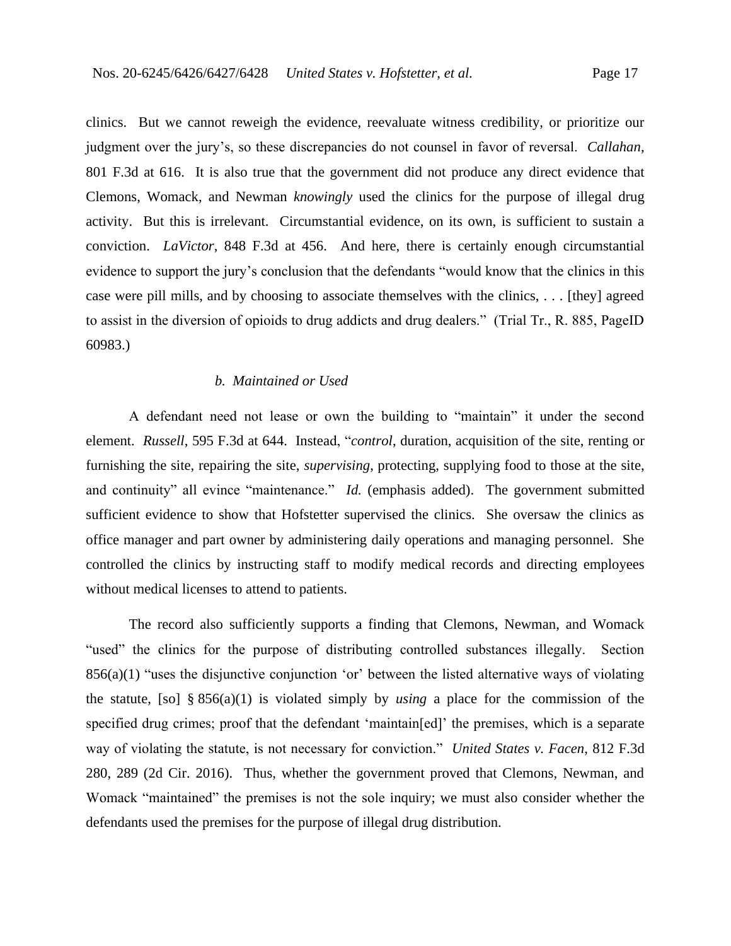clinics. But we cannot reweigh the evidence, reevaluate witness credibility, or prioritize our judgment over the jury's, so these discrepancies do not counsel in favor of reversal. *Callahan*, 801 F.3d at 616. It is also true that the government did not produce any direct evidence that Clemons, Womack, and Newman *knowingly* used the clinics for the purpose of illegal drug activity. But this is irrelevant. Circumstantial evidence, on its own, is sufficient to sustain a conviction. *LaVictor*, 848 F.3d at 456. And here, there is certainly enough circumstantial evidence to support the jury's conclusion that the defendants "would know that the clinics in this case were pill mills, and by choosing to associate themselves with the clinics, . . . [they] agreed to assist in the diversion of opioids to drug addicts and drug dealers." (Trial Tr., R. 885, PageID 60983.)

## *b. Maintained or Used*

A defendant need not lease or own the building to "maintain" it under the second element. *Russell*, 595 F.3d at 644. Instead, "*control*, duration, acquisition of the site, renting or furnishing the site, repairing the site, *supervising*, protecting, supplying food to those at the site, and continuity" all evince "maintenance." *Id.* (emphasis added). The government submitted sufficient evidence to show that Hofstetter supervised the clinics. She oversaw the clinics as office manager and part owner by administering daily operations and managing personnel. She controlled the clinics by instructing staff to modify medical records and directing employees without medical licenses to attend to patients.

The record also sufficiently supports a finding that Clemons, Newman, and Womack "used" the clinics for the purpose of distributing controlled substances illegally. Section 856(a)(1) "uses the disjunctive conjunction 'or' between the listed alternative ways of violating the statute, [so] § 856(a)(1) is violated simply by *using* a place for the commission of the specified drug crimes; proof that the defendant 'maintain[ed]' the premises, which is a separate way of violating the statute, is not necessary for conviction." *United States v. Facen*, 812 F.3d 280, 289 (2d Cir. 2016). Thus, whether the government proved that Clemons, Newman, and Womack "maintained" the premises is not the sole inquiry; we must also consider whether the defendants used the premises for the purpose of illegal drug distribution.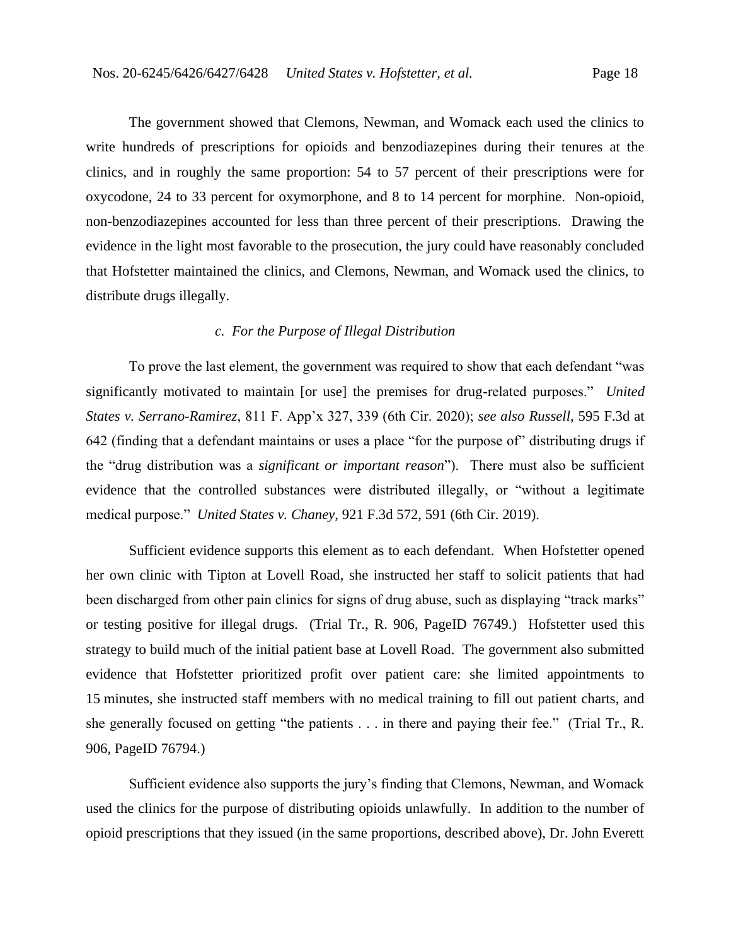The government showed that Clemons, Newman, and Womack each used the clinics to write hundreds of prescriptions for opioids and benzodiazepines during their tenures at the clinics, and in roughly the same proportion: 54 to 57 percent of their prescriptions were for oxycodone, 24 to 33 percent for oxymorphone, and 8 to 14 percent for morphine.Non-opioid, non-benzodiazepines accounted for less than three percent of their prescriptions. Drawing the evidence in the light most favorable to the prosecution, the jury could have reasonably concluded that Hofstetter maintained the clinics, and Clemons, Newman, and Womack used the clinics, to distribute drugs illegally.

# *c. For the Purpose of Illegal Distribution*

To prove the last element, the government was required to show that each defendant "was significantly motivated to maintain [or use] the premises for drug-related purposes." *United States v. Serrano-Ramirez*, 811 F. App'x 327, 339 (6th Cir. 2020); *see also Russell*, 595 F.3d at 642 (finding that a defendant maintains or uses a place "for the purpose of" distributing drugs if the "drug distribution was a *significant or important reason*"). There must also be sufficient evidence that the controlled substances were distributed illegally, or "without a legitimate medical purpose." *United States v. Chaney*, 921 F.3d 572, 591 (6th Cir. 2019).

Sufficient evidence supports this element as to each defendant.When Hofstetter opened her own clinic with Tipton at Lovell Road, she instructed her staff to solicit patients that had been discharged from other pain clinics for signs of drug abuse, such as displaying "track marks" or testing positive for illegal drugs. (Trial Tr., R. 906, PageID 76749.) Hofstetter used this strategy to build much of the initial patient base at Lovell Road. The government also submitted evidence that Hofstetter prioritized profit over patient care: she limited appointments to 15 minutes, she instructed staff members with no medical training to fill out patient charts, and she generally focused on getting "the patients . . . in there and paying their fee." (Trial Tr., R. 906, PageID 76794.)

Sufficient evidence also supports the jury's finding that Clemons, Newman, and Womack used the clinics for the purpose of distributing opioids unlawfully.In addition to the number of opioid prescriptions that they issued (in the same proportions, described above), Dr. John Everett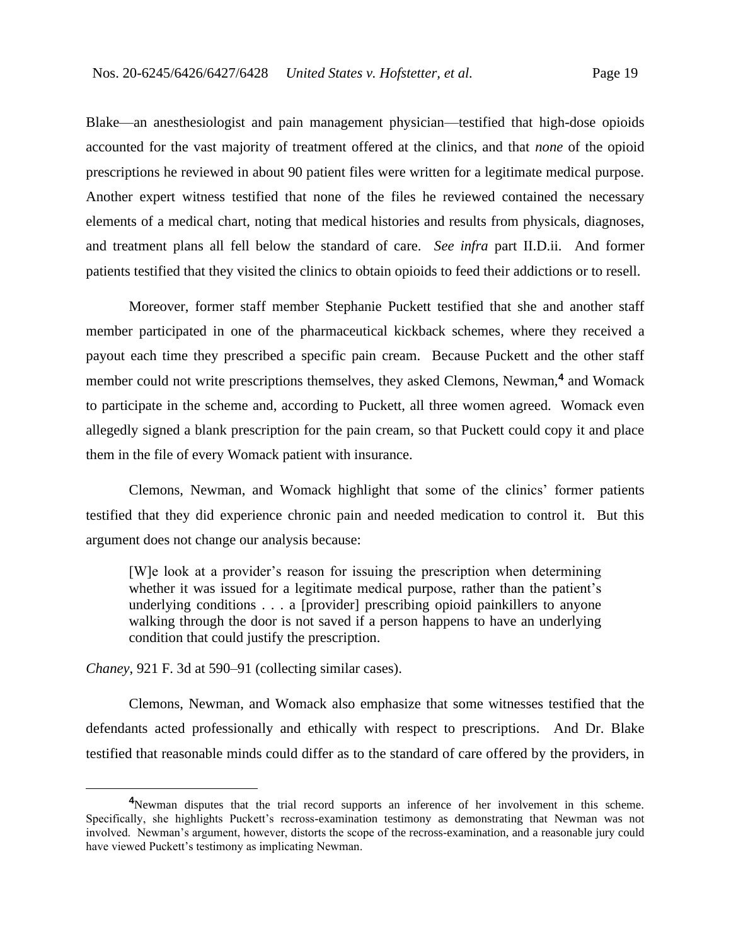Blake—an anesthesiologist and pain management physician—testified that high-dose opioids accounted for the vast majority of treatment offered at the clinics, and that *none* of the opioid prescriptions he reviewed in about 90 patient files were written for a legitimate medical purpose. Another expert witness testified that none of the files he reviewed contained the necessary elements of a medical chart, noting that medical histories and results from physicals, diagnoses, and treatment plans all fell below the standard of care. *See infra* part II.D.ii.And former patients testified that they visited the clinics to obtain opioids to feed their addictions or to resell.

Moreover, former staff member Stephanie Puckett testified that she and another staff member participated in one of the pharmaceutical kickback schemes, where they received a payout each time they prescribed a specific pain cream. Because Puckett and the other staff member could not write prescriptions themselves, they asked Clemons, Newman,**<sup>4</sup>** and Womack to participate in the scheme and, according to Puckett, all three women agreed. Womack even allegedly signed a blank prescription for the pain cream, so that Puckett could copy it and place them in the file of every Womack patient with insurance.

Clemons, Newman, and Womack highlight that some of the clinics' former patients testified that they did experience chronic pain and needed medication to control it. But this argument does not change our analysis because:

[W]e look at a provider's reason for issuing the prescription when determining whether it was issued for a legitimate medical purpose, rather than the patient's underlying conditions . . . a [provider] prescribing opioid painkillers to anyone walking through the door is not saved if a person happens to have an underlying condition that could justify the prescription.

*Chaney*, 921 F. 3d at 590–91 (collecting similar cases).

Clemons, Newman, and Womack also emphasize that some witnesses testified that the defendants acted professionally and ethically with respect to prescriptions. And Dr. Blake testified that reasonable minds could differ as to the standard of care offered by the providers, in

**<sup>4</sup>**Newman disputes that the trial record supports an inference of her involvement in this scheme. Specifically, she highlights Puckett's recross-examination testimony as demonstrating that Newman was not involved. Newman's argument, however, distorts the scope of the recross-examination, and a reasonable jury could have viewed Puckett's testimony as implicating Newman.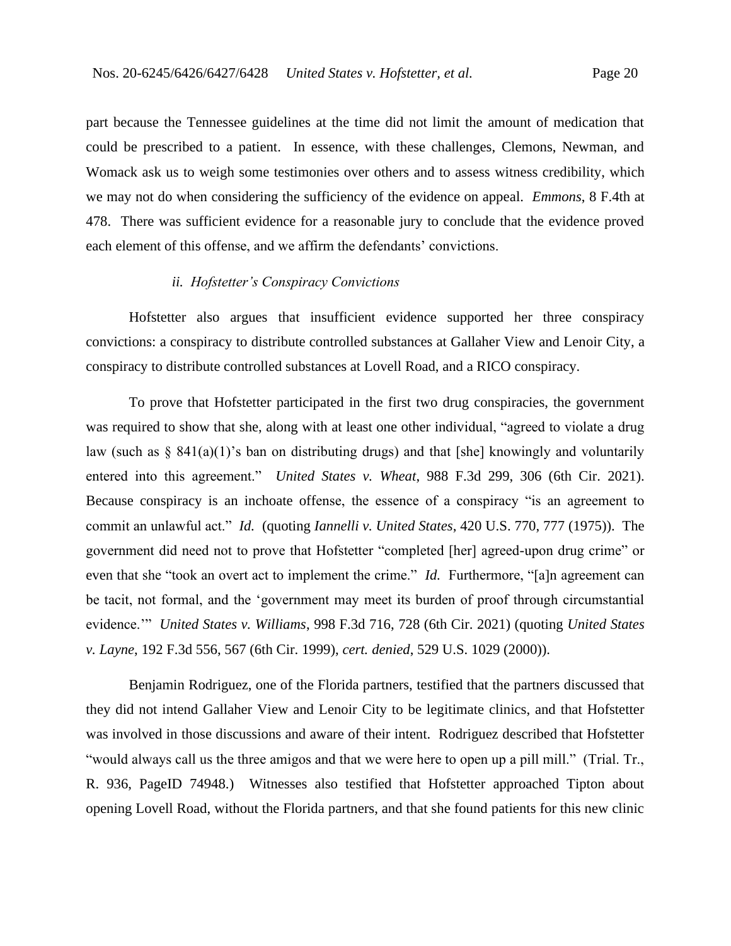part because the Tennessee guidelines at the time did not limit the amount of medication that could be prescribed to a patient. In essence, with these challenges, Clemons, Newman, and Womack ask us to weigh some testimonies over others and to assess witness credibility, which we may not do when considering the sufficiency of the evidence on appeal. *Emmons*, 8 F.4th at 478. There was sufficient evidence for a reasonable jury to conclude that the evidence proved each element of this offense, and we affirm the defendants' convictions.

# *ii. Hofstetter's Conspiracy Convictions*

Hofstetter also argues that insufficient evidence supported her three conspiracy convictions: a conspiracy to distribute controlled substances at Gallaher View and Lenoir City, a conspiracy to distribute controlled substances at Lovell Road, and a RICO conspiracy.

To prove that Hofstetter participated in the first two drug conspiracies, the government was required to show that she, along with at least one other individual, "agreed to violate a drug law (such as  $\S$  841(a)(1)'s ban on distributing drugs) and that [she] knowingly and voluntarily entered into this agreement." *United States v. Wheat*, 988 F.3d 299, 306 (6th Cir. 2021). Because conspiracy is an inchoate offense, the essence of a conspiracy "is an agreement to commit an unlawful act." *Id.* (quoting *Iannelli v. United States*, 420 U.S. 770, 777 (1975)). The government did need not to prove that Hofstetter "completed [her] agreed-upon drug crime" or even that she "took an overt act to implement the crime." *Id.* Furthermore, "[a]n agreement can be tacit, not formal, and the 'government may meet its burden of proof through circumstantial evidence.'" *United States v. Williams*, 998 F.3d 716, 728 (6th Cir. 2021) (quoting *United States v. Layne*, 192 F.3d 556, 567 (6th Cir. 1999), *cert. denied*, 529 U.S. 1029 (2000)).

Benjamin Rodriguez, one of the Florida partners, testified that the partners discussed that they did not intend Gallaher View and Lenoir City to be legitimate clinics, and that Hofstetter was involved in those discussions and aware of their intent. Rodriguez described that Hofstetter "would always call us the three amigos and that we were here to open up a pill mill." (Trial. Tr., R. 936, PageID 74948.) Witnesses also testified that Hofstetter approached Tipton about opening Lovell Road, without the Florida partners, and that she found patients for this new clinic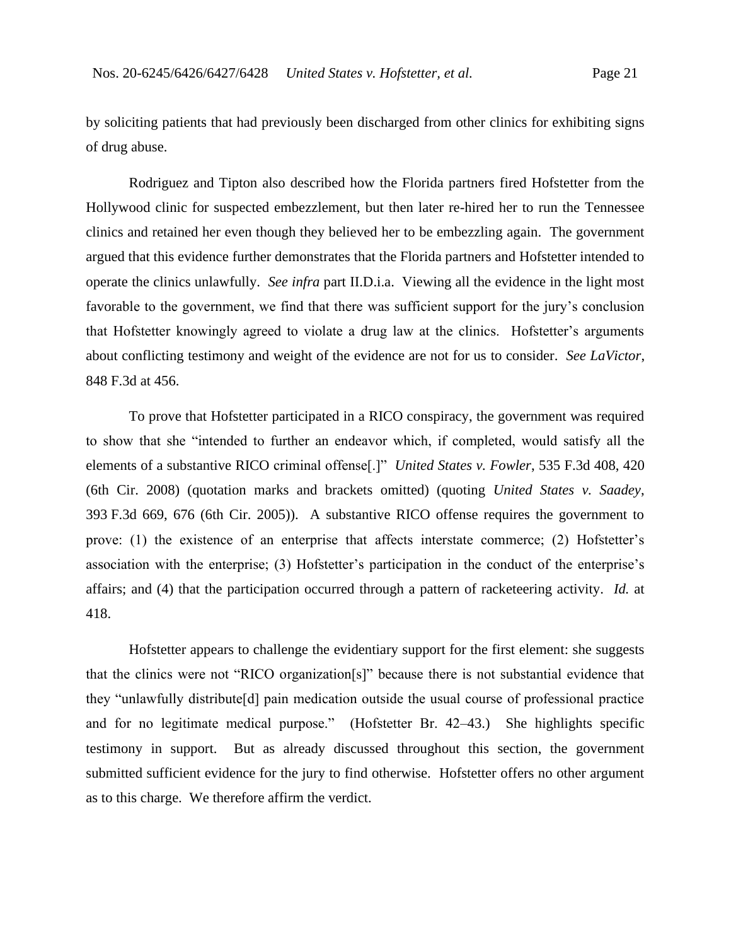by soliciting patients that had previously been discharged from other clinics for exhibiting signs of drug abuse.

Rodriguez and Tipton also described how the Florida partners fired Hofstetter from the Hollywood clinic for suspected embezzlement, but then later re-hired her to run the Tennessee clinics and retained her even though they believed her to be embezzling again. The government argued that this evidence further demonstrates that the Florida partners and Hofstetter intended to operate the clinics unlawfully. *See infra* part II.D.i.a. Viewing all the evidence in the light most favorable to the government, we find that there was sufficient support for the jury's conclusion that Hofstetter knowingly agreed to violate a drug law at the clinics. Hofstetter's arguments about conflicting testimony and weight of the evidence are not for us to consider. *See LaVictor*, 848 F.3d at 456.

To prove that Hofstetter participated in a RICO conspiracy, the government was required to show that she "intended to further an endeavor which, if completed, would satisfy all the elements of a substantive RICO criminal offense[.]" *United States v. Fowler*, 535 F.3d 408, 420 (6th Cir. 2008) (quotation marks and brackets omitted) (quoting *United States v. Saadey*, 393 F.3d 669, 676 (6th Cir. 2005)). A substantive RICO offense requires the government to prove: (1) the existence of an enterprise that affects interstate commerce; (2) Hofstetter's association with the enterprise; (3) Hofstetter's participation in the conduct of the enterprise's affairs; and (4) that the participation occurred through a pattern of racketeering activity. *Id.* at 418.

Hofstetter appears to challenge the evidentiary support for the first element: she suggests that the clinics were not "RICO organization[s]" because there is not substantial evidence that they "unlawfully distribute[d] pain medication outside the usual course of professional practice and for no legitimate medical purpose." (Hofstetter Br. 42–43.) She highlights specific testimony in support. But as already discussed throughout this section, the government submitted sufficient evidence for the jury to find otherwise. Hofstetter offers no other argument as to this charge. We therefore affirm the verdict.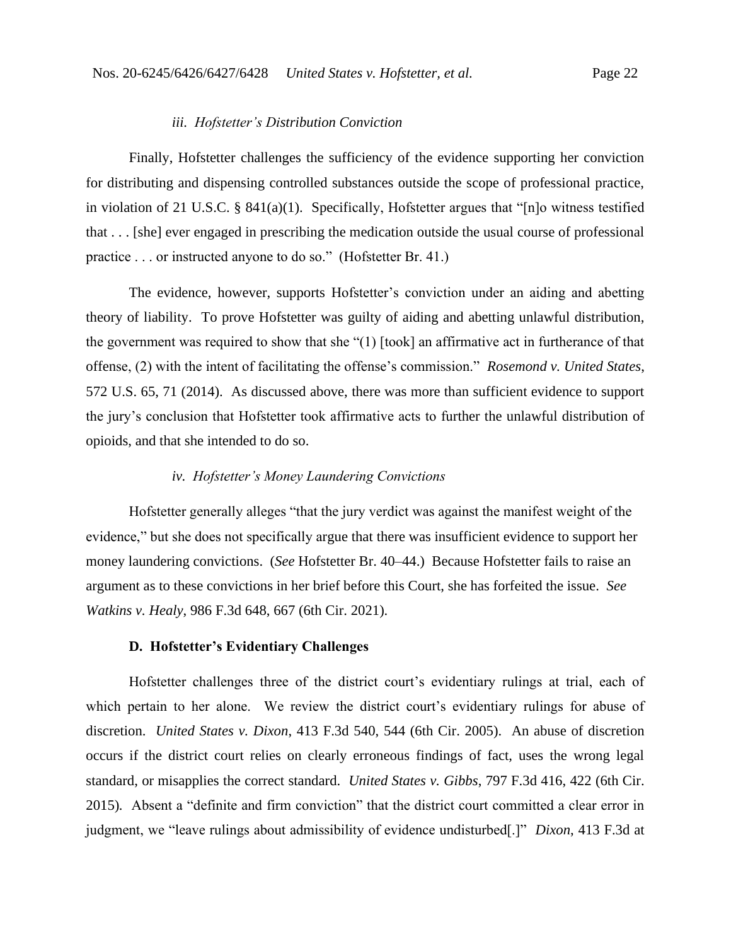#### *iii. Hofstetter's Distribution Conviction*

Finally, Hofstetter challenges the sufficiency of the evidence supporting her conviction for distributing and dispensing controlled substances outside the scope of professional practice, in violation of 21 U.S.C. § 841(a)(1). Specifically, Hofstetter argues that "[n]o witness testified that . . . [she] ever engaged in prescribing the medication outside the usual course of professional practice . . . or instructed anyone to do so." (Hofstetter Br. 41.)

The evidence, however, supports Hofstetter's conviction under an aiding and abetting theory of liability. To prove Hofstetter was guilty of aiding and abetting unlawful distribution, the government was required to show that she "(1) [took] an affirmative act in furtherance of that offense, (2) with the intent of facilitating the offense's commission." *Rosemond v. United States*, 572 U.S. 65, 71 (2014). As discussed above, there was more than sufficient evidence to support the jury's conclusion that Hofstetter took affirmative acts to further the unlawful distribution of opioids, and that she intended to do so.

## *iv. Hofstetter's Money Laundering Convictions*

Hofstetter generally alleges "that the jury verdict was against the manifest weight of the evidence," but she does not specifically argue that there was insufficient evidence to support her money laundering convictions. (*See* Hofstetter Br. 40–44.) Because Hofstetter fails to raise an argument as to these convictions in her brief before this Court, she has forfeited the issue. *See Watkins v. Healy*, 986 F.3d 648, 667 (6th Cir. 2021).

#### **D. Hofstetter's Evidentiary Challenges**

Hofstetter challenges three of the district court's evidentiary rulings at trial, each of which pertain to her alone. We review the district court's evidentiary rulings for abuse of discretion. *United States v. Dixon*, 413 F.3d 540, 544 (6th Cir. 2005). An abuse of discretion occurs if the district court relies on clearly erroneous findings of fact, uses the wrong legal standard, or misapplies the correct standard. *United States v. Gibbs*, 797 F.3d 416, 422 (6th Cir. 2015)*.* Absent a "definite and firm conviction" that the district court committed a clear error in judgment, we "leave rulings about admissibility of evidence undisturbed[.]" *Dixon*, 413 F.3d at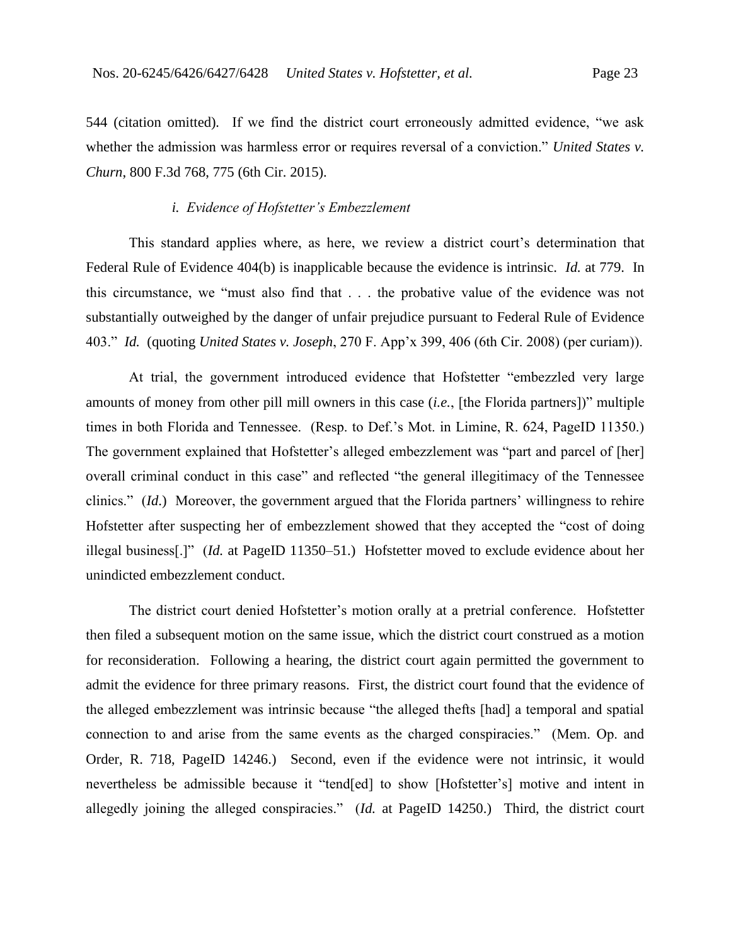544 (citation omitted)*.* If we find the district court erroneously admitted evidence, "we ask whether the admission was harmless error or requires reversal of a conviction." *United States v. Churn*, 800 F.3d 768, 775 (6th Cir. 2015).

## *i. Evidence of Hofstetter's Embezzlement*

This standard applies where, as here, we review a district court's determination that Federal Rule of Evidence 404(b) is inapplicable because the evidence is intrinsic. *Id.* at 779. In this circumstance, we "must also find that . . . the probative value of the evidence was not substantially outweighed by the danger of unfair prejudice pursuant to Federal Rule of Evidence 403." *Id.* (quoting *United States v. Joseph*, 270 F. App'x 399, 406 (6th Cir. 2008) (per curiam)).

At trial, the government introduced evidence that Hofstetter "embezzled very large amounts of money from other pill mill owners in this case (*i.e.*, [the Florida partners])" multiple times in both Florida and Tennessee. (Resp. to Def.'s Mot. in Limine, R. 624, PageID 11350.) The government explained that Hofstetter's alleged embezzlement was "part and parcel of [her] overall criminal conduct in this case" and reflected "the general illegitimacy of the Tennessee clinics." (*Id*.)Moreover, the government argued that the Florida partners' willingness to rehire Hofstetter after suspecting her of embezzlement showed that they accepted the "cost of doing illegal business[.]" (*Id.* at PageID 11350–51.)Hofstetter moved to exclude evidence about her unindicted embezzlement conduct.

The district court denied Hofstetter's motion orally at a pretrial conference. Hofstetter then filed a subsequent motion on the same issue, which the district court construed as a motion for reconsideration. Following a hearing, the district court again permitted the government to admit the evidence for three primary reasons. First, the district court found that the evidence of the alleged embezzlement was intrinsic because "the alleged thefts [had] a temporal and spatial connection to and arise from the same events as the charged conspiracies." (Mem. Op. and Order, R. 718, PageID 14246.) Second, even if the evidence were not intrinsic, it would nevertheless be admissible because it "tend[ed] to show [Hofstetter's] motive and intent in allegedly joining the alleged conspiracies." (*Id.* at PageID 14250.) Third, the district court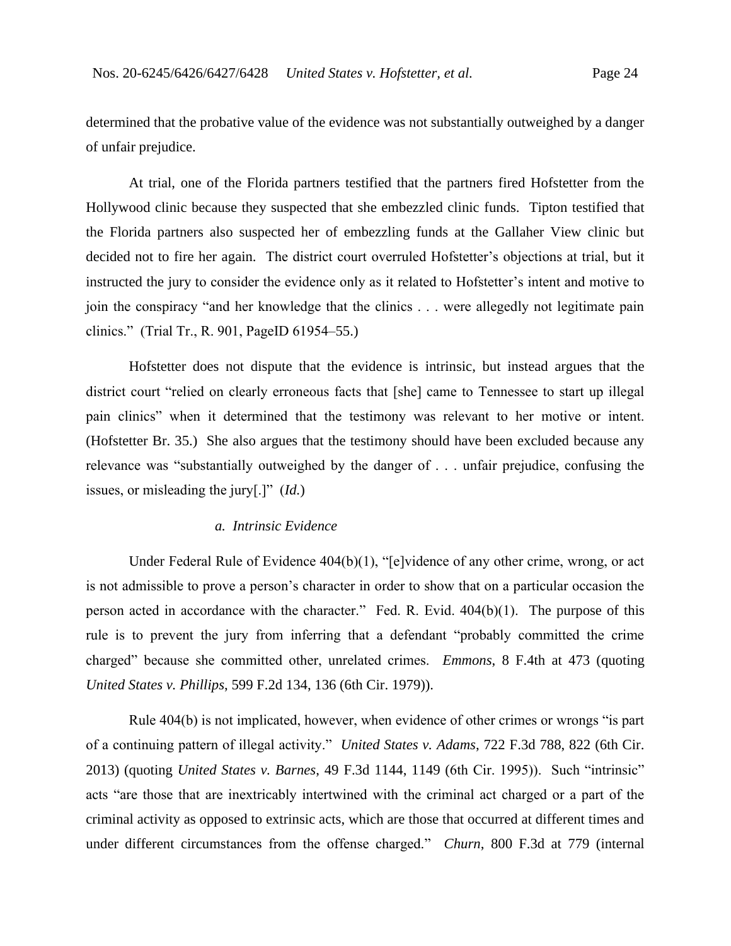determined that the probative value of the evidence was not substantially outweighed by a danger of unfair prejudice.

At trial, one of the Florida partners testified that the partners fired Hofstetter from the Hollywood clinic because they suspected that she embezzled clinic funds. Tipton testified that the Florida partners also suspected her of embezzling funds at the Gallaher View clinic but decided not to fire her again. The district court overruled Hofstetter's objections at trial, but it instructed the jury to consider the evidence only as it related to Hofstetter's intent and motive to join the conspiracy "and her knowledge that the clinics . . . were allegedly not legitimate pain clinics." (Trial Tr., R. 901, PageID 61954–55.)

Hofstetter does not dispute that the evidence is intrinsic, but instead argues that the district court "relied on clearly erroneous facts that [she] came to Tennessee to start up illegal pain clinics" when it determined that the testimony was relevant to her motive or intent. (Hofstetter Br. 35.) She also argues that the testimony should have been excluded because any relevance was "substantially outweighed by the danger of . . . unfair prejudice, confusing the issues, or misleading the jury[.]" (*Id.*)

## *a. Intrinsic Evidence*

Under Federal Rule of Evidence 404(b)(1), "[e]vidence of any other crime, wrong, or act is not admissible to prove a person's character in order to show that on a particular occasion the person acted in accordance with the character." Fed. R. Evid. 404(b)(1). The purpose of this rule is to prevent the jury from inferring that a defendant "probably committed the crime charged" because she committed other, unrelated crimes.*Emmons*, 8 F.4th at 473 (quoting *United States v. Phillips*, 599 F.2d 134, 136 (6th Cir. 1979)).

Rule 404(b) is not implicated, however, when evidence of other crimes or wrongs "is part of a continuing pattern of illegal activity." *United States v. Adams*, 722 F.3d 788, 822 (6th Cir. 2013) (quoting *United States v. Barnes*, 49 F.3d 1144, 1149 (6th Cir. 1995)). Such "intrinsic" acts "are those that are inextricably intertwined with the criminal act charged or a part of the criminal activity as opposed to extrinsic acts, which are those that occurred at different times and under different circumstances from the offense charged." *Churn*, 800 F.3d at 779 (internal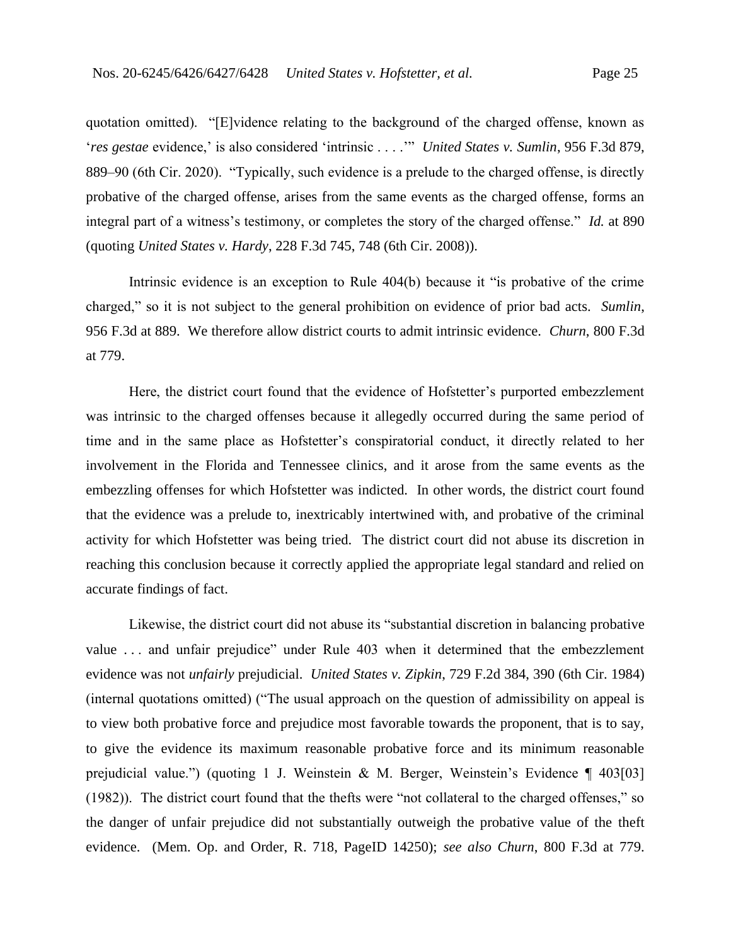quotation omitted). "[E]vidence relating to the background of the charged offense, known as '*res gestae* evidence,' is also considered 'intrinsic . . . .'" *United States v. Sumlin*, 956 F.3d 879, 889–90 (6th Cir. 2020). "Typically, such evidence is a prelude to the charged offense, is directly probative of the charged offense, arises from the same events as the charged offense, forms an integral part of a witness's testimony, or completes the story of the charged offense." *Id.* at 890 (quoting *United States v. Hardy*, 228 F.3d 745, 748 (6th Cir. 2008)).

Intrinsic evidence is an exception to Rule 404(b) because it "is probative of the crime charged," so it is not subject to the general prohibition on evidence of prior bad acts. *Sumlin*, 956 F.3d at 889. We therefore allow district courts to admit intrinsic evidence. *Churn*, 800 F.3d at 779.

Here, the district court found that the evidence of Hofstetter's purported embezzlement was intrinsic to the charged offenses because it allegedly occurred during the same period of time and in the same place as Hofstetter's conspiratorial conduct, it directly related to her involvement in the Florida and Tennessee clinics, and it arose from the same events as the embezzling offenses for which Hofstetter was indicted. In other words, the district court found that the evidence was a prelude to, inextricably intertwined with, and probative of the criminal activity for which Hofstetter was being tried. The district court did not abuse its discretion in reaching this conclusion because it correctly applied the appropriate legal standard and relied on accurate findings of fact.

Likewise, the district court did not abuse its "substantial discretion in balancing probative value . . . and unfair prejudice" under Rule 403 when it determined that the embezzlement evidence was not *unfairly* prejudicial. *United States v. Zipkin*, 729 F.2d 384, 390 (6th Cir. 1984) (internal quotations omitted) ("The usual approach on the question of admissibility on appeal is to view both probative force and prejudice most favorable towards the proponent, that is to say, to give the evidence its maximum reasonable probative force and its minimum reasonable prejudicial value.") (quoting 1 J. Weinstein & M. Berger, Weinstein's Evidence ¶ 403[03] (1982)). The district court found that the thefts were "not collateral to the charged offenses," so the danger of unfair prejudice did not substantially outweigh the probative value of the theft evidence.(Mem. Op. and Order, R. 718, PageID 14250); *see also Churn*, 800 F.3d at 779.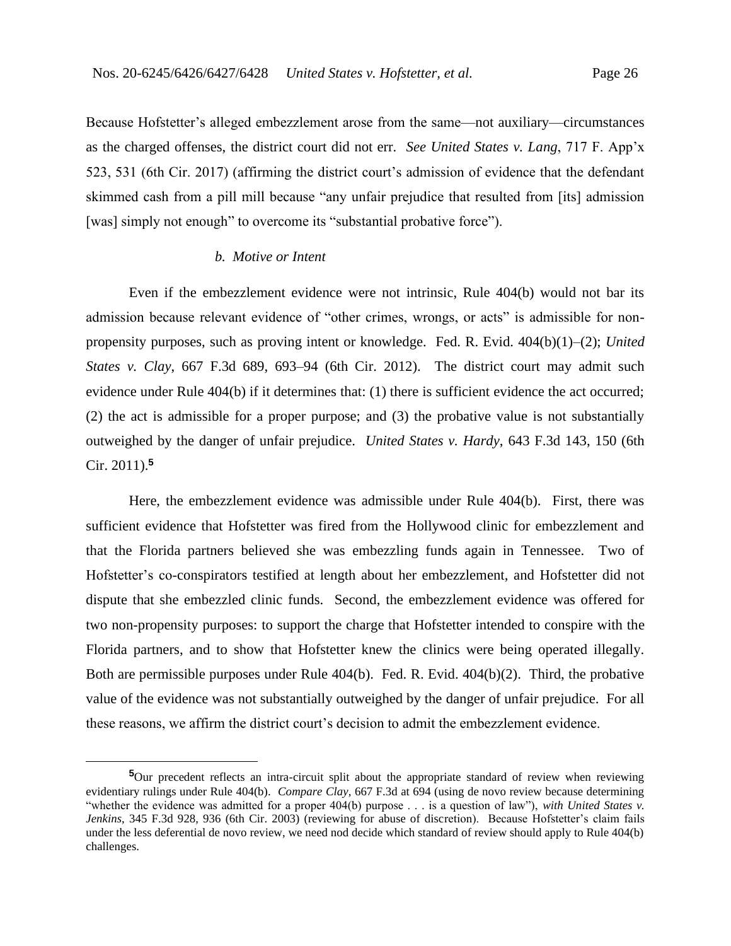Because Hofstetter's alleged embezzlement arose from the same—not auxiliary—circumstances as the charged offenses, the district court did not err. *See United States v. Lang*, 717 F. App'x 523, 531 (6th Cir. 2017) (affirming the district court's admission of evidence that the defendant skimmed cash from a pill mill because "any unfair prejudice that resulted from [its] admission [was] simply not enough" to overcome its "substantial probative force").

#### *b. Motive or Intent*

Even if the embezzlement evidence were not intrinsic, Rule 404(b) would not bar its admission because relevant evidence of "other crimes, wrongs, or acts" is admissible for nonpropensity purposes, such as proving intent or knowledge. Fed. R. Evid. 404(b)(1)–(2); *United States v. Clay*, 667 F.3d 689, 693–94 (6th Cir. 2012). The district court may admit such evidence under Rule 404(b) if it determines that: (1) there is sufficient evidence the act occurred; (2) the act is admissible for a proper purpose; and (3) the probative value is not substantially outweighed by the danger of unfair prejudice. *United States v. Hardy*, 643 F.3d 143, 150 (6th Cir. 2011).**<sup>5</sup>**

Here, the embezzlement evidence was admissible under Rule 404(b). First, there was sufficient evidence that Hofstetter was fired from the Hollywood clinic for embezzlement and that the Florida partners believed she was embezzling funds again in Tennessee. Two of Hofstetter's co-conspirators testified at length about her embezzlement, and Hofstetter did not dispute that she embezzled clinic funds.Second, the embezzlement evidence was offered for two non-propensity purposes: to support the charge that Hofstetter intended to conspire with the Florida partners, and to show that Hofstetter knew the clinics were being operated illegally. Both are permissible purposes under Rule 404(b). Fed. R. Evid. 404(b)(2). Third, the probative value of the evidence was not substantially outweighed by the danger of unfair prejudice. For all these reasons, we affirm the district court's decision to admit the embezzlement evidence.

**<sup>5</sup>**Our precedent reflects an intra-circuit split about the appropriate standard of review when reviewing evidentiary rulings under Rule 404(b). *Compare Clay*, 667 F.3d at 694 (using de novo review because determining "whether the evidence was admitted for a proper 404(b) purpose . . . is a question of law"), *with United States v. Jenkins*, 345 F.3d 928, 936 (6th Cir. 2003) (reviewing for abuse of discretion). Because Hofstetter's claim fails under the less deferential de novo review, we need nod decide which standard of review should apply to Rule 404(b) challenges.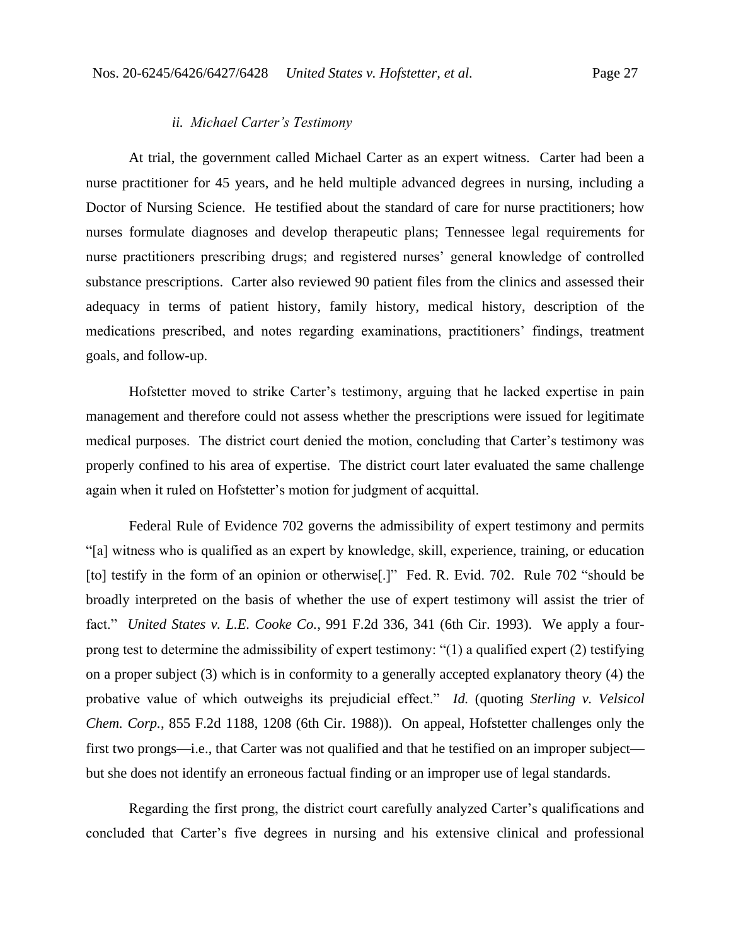#### *ii. Michael Carter's Testimony*

At trial, the government called Michael Carter as an expert witness. Carter had been a nurse practitioner for 45 years, and he held multiple advanced degrees in nursing, including a Doctor of Nursing Science. He testified about the standard of care for nurse practitioners; how nurses formulate diagnoses and develop therapeutic plans; Tennessee legal requirements for nurse practitioners prescribing drugs; and registered nurses' general knowledge of controlled substance prescriptions. Carter also reviewed 90 patient files from the clinics and assessed their adequacy in terms of patient history, family history, medical history, description of the medications prescribed, and notes regarding examinations, practitioners' findings, treatment goals, and follow-up.

Hofstetter moved to strike Carter's testimony, arguing that he lacked expertise in pain management and therefore could not assess whether the prescriptions were issued for legitimate medical purposes. The district court denied the motion, concluding that Carter's testimony was properly confined to his area of expertise. The district court later evaluated the same challenge again when it ruled on Hofstetter's motion for judgment of acquittal.

Federal Rule of Evidence 702 governs the admissibility of expert testimony and permits "[a] witness who is qualified as an expert by knowledge, skill, experience, training, or education [to] testify in the form of an opinion or otherwise[.]" Fed. R. Evid. 702. Rule 702 "should be broadly interpreted on the basis of whether the use of expert testimony will assist the trier of fact." *United States v. L.E. Cooke Co.*, 991 F.2d 336, 341 (6th Cir. 1993). We apply a fourprong test to determine the admissibility of expert testimony: "(1) a qualified expert (2) testifying on a proper subject (3) which is in conformity to a generally accepted explanatory theory (4) the probative value of which outweighs its prejudicial effect." *Id.* (quoting *Sterling v. Velsicol Chem. Corp.*, 855 F.2d 1188, 1208 (6th Cir. 1988)). On appeal, Hofstetter challenges only the first two prongs—i.e., that Carter was not qualified and that he testified on an improper subject but she does not identify an erroneous factual finding or an improper use of legal standards.

Regarding the first prong, the district court carefully analyzed Carter's qualifications and concluded that Carter's five degrees in nursing and his extensive clinical and professional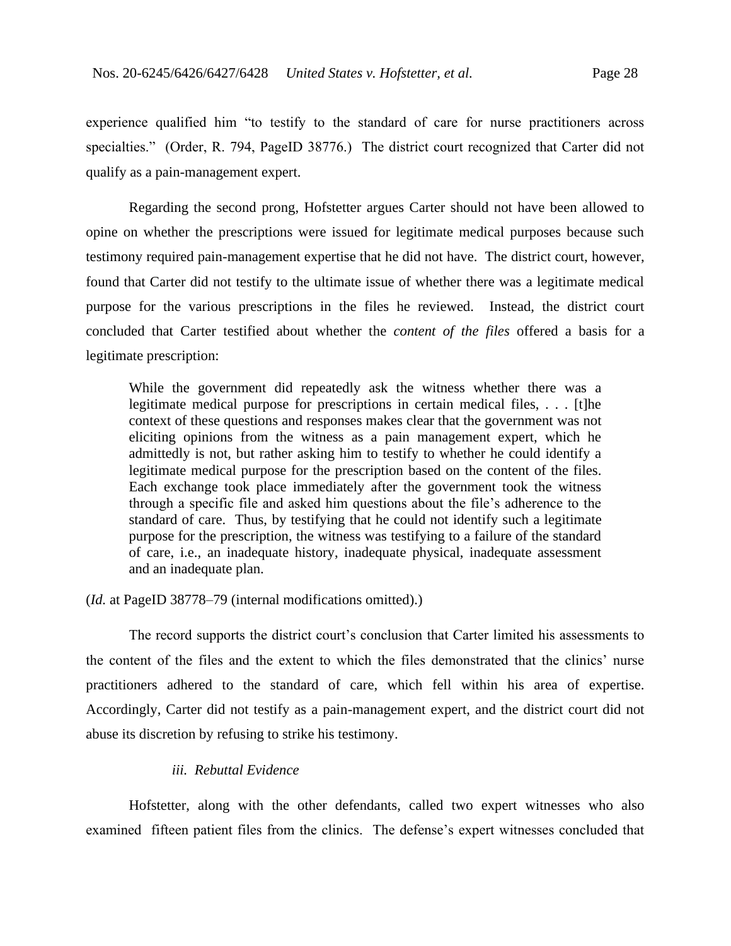experience qualified him "to testify to the standard of care for nurse practitioners across specialties." (Order, R. 794, PageID 38776.) The district court recognized that Carter did not qualify as a pain-management expert.

Regarding the second prong, Hofstetter argues Carter should not have been allowed to opine on whether the prescriptions were issued for legitimate medical purposes because such testimony required pain-management expertise that he did not have. The district court, however, found that Carter did not testify to the ultimate issue of whether there was a legitimate medical purpose for the various prescriptions in the files he reviewed. Instead, the district court concluded that Carter testified about whether the *content of the files* offered a basis for a legitimate prescription:

While the government did repeatedly ask the witness whether there was a legitimate medical purpose for prescriptions in certain medical files, . . . [t]he context of these questions and responses makes clear that the government was not eliciting opinions from the witness as a pain management expert, which he admittedly is not, but rather asking him to testify to whether he could identify a legitimate medical purpose for the prescription based on the content of the files. Each exchange took place immediately after the government took the witness through a specific file and asked him questions about the file's adherence to the standard of care. Thus, by testifying that he could not identify such a legitimate purpose for the prescription, the witness was testifying to a failure of the standard of care, i.e., an inadequate history, inadequate physical, inadequate assessment and an inadequate plan.

(*Id.* at PageID 38778–79 (internal modifications omitted).)

The record supports the district court's conclusion that Carter limited his assessments to the content of the files and the extent to which the files demonstrated that the clinics' nurse practitioners adhered to the standard of care, which fell within his area of expertise. Accordingly, Carter did not testify as a pain-management expert, and the district court did not abuse its discretion by refusing to strike his testimony.

## *iii. Rebuttal Evidence*

Hofstetter, along with the other defendants, called two expert witnesses who also examined fifteen patient files from the clinics. The defense's expert witnesses concluded that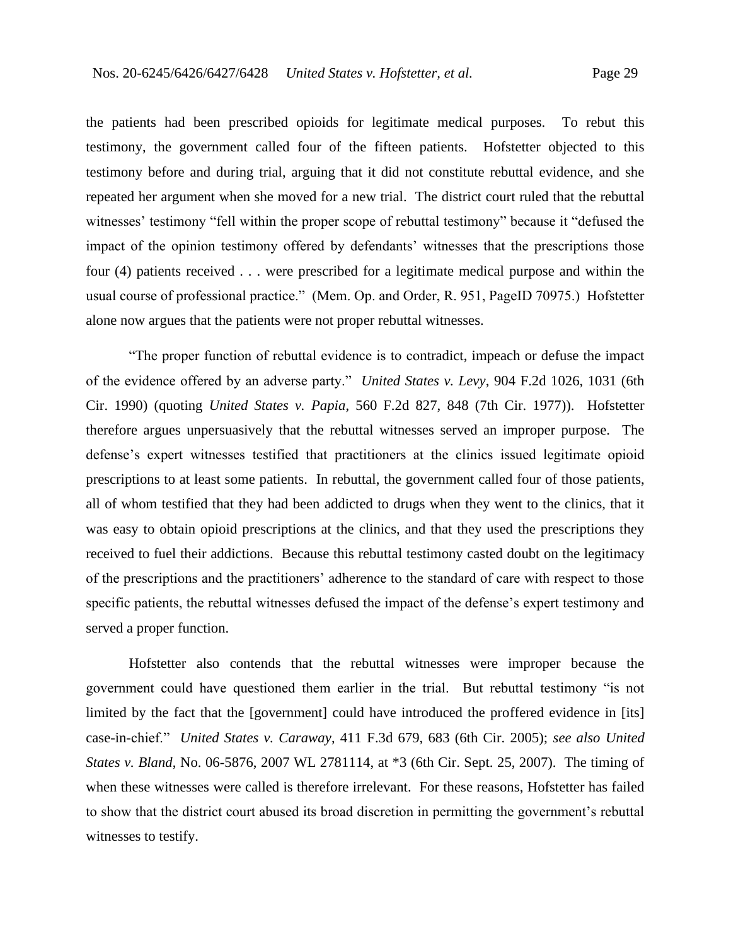the patients had been prescribed opioids for legitimate medical purposes. To rebut this testimony, the government called four of the fifteen patients. Hofstetter objected to this testimony before and during trial, arguing that it did not constitute rebuttal evidence, and she repeated her argument when she moved for a new trial. The district court ruled that the rebuttal witnesses' testimony "fell within the proper scope of rebuttal testimony" because it "defused the impact of the opinion testimony offered by defendants' witnesses that the prescriptions those four (4) patients received . . . were prescribed for a legitimate medical purpose and within the usual course of professional practice." (Mem. Op. and Order, R. 951, PageID 70975.) Hofstetter alone now argues that the patients were not proper rebuttal witnesses.

"The proper function of rebuttal evidence is to contradict, impeach or defuse the impact of the evidence offered by an adverse party." *United States v. Levy*, 904 F.2d 1026, 1031 (6th Cir. 1990) (quoting *United States v. Papia*, 560 F.2d 827, 848 (7th Cir. 1977)). Hofstetter therefore argues unpersuasively that the rebuttal witnesses served an improper purpose. The defense's expert witnesses testified that practitioners at the clinics issued legitimate opioid prescriptions to at least some patients. In rebuttal, the government called four of those patients, all of whom testified that they had been addicted to drugs when they went to the clinics, that it was easy to obtain opioid prescriptions at the clinics, and that they used the prescriptions they received to fuel their addictions. Because this rebuttal testimony casted doubt on the legitimacy of the prescriptions and the practitioners' adherence to the standard of care with respect to those specific patients, the rebuttal witnesses defused the impact of the defense's expert testimony and served a proper function.

Hofstetter also contends that the rebuttal witnesses were improper because the government could have questioned them earlier in the trial. But rebuttal testimony "is not limited by the fact that the [government] could have introduced the proffered evidence in [its] case-in-chief." *United States v. Caraway*, 411 F.3d 679, 683 (6th Cir. 2005); *see also United States v. Bland*, No. 06-5876, 2007 WL 2781114, at \*3 (6th Cir. Sept. 25, 2007). The timing of when these witnesses were called is therefore irrelevant. For these reasons, Hofstetter has failed to show that the district court abused its broad discretion in permitting the government's rebuttal witnesses to testify.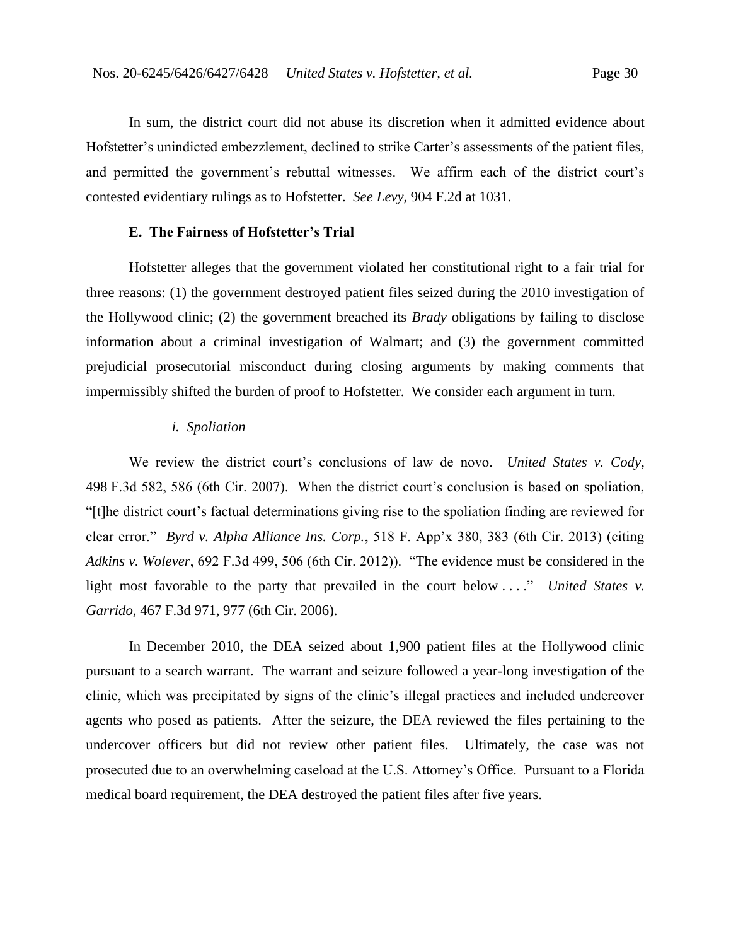In sum, the district court did not abuse its discretion when it admitted evidence about Hofstetter's unindicted embezzlement, declined to strike Carter's assessments of the patient files, and permitted the government's rebuttal witnesses. We affirm each of the district court's contested evidentiary rulings as to Hofstetter. *See Levy*, 904 F.2d at 1031*.*

# **E. The Fairness of Hofstetter's Trial**

Hofstetter alleges that the government violated her constitutional right to a fair trial for three reasons: (1) the government destroyed patient files seized during the 2010 investigation of the Hollywood clinic; (2) the government breached its *Brady* obligations by failing to disclose information about a criminal investigation of Walmart; and (3) the government committed prejudicial prosecutorial misconduct during closing arguments by making comments that impermissibly shifted the burden of proof to Hofstetter. We consider each argument in turn.

#### *i. Spoliation*

We review the district court's conclusions of law de novo. *United States v. Cody*, 498 F.3d 582, 586 (6th Cir. 2007). When the district court's conclusion is based on spoliation, "[t]he district court's factual determinations giving rise to the spoliation finding are reviewed for clear error." *Byrd v. Alpha Alliance Ins. Corp.*, 518 F. App'x 380, 383 (6th Cir. 2013) (citing *Adkins v. Wolever*, 692 F.3d 499, 506 (6th Cir. 2012)). "The evidence must be considered in the light most favorable to the party that prevailed in the court below ...." *United States v. Garrido*, 467 F.3d 971, 977 (6th Cir. 2006).

In December 2010, the DEA seized about 1,900 patient files at the Hollywood clinic pursuant to a search warrant. The warrant and seizure followed a year-long investigation of the clinic, which was precipitated by signs of the clinic's illegal practices and included undercover agents who posed as patients. After the seizure, the DEA reviewed the files pertaining to the undercover officers but did not review other patient files. Ultimately, the case was not prosecuted due to an overwhelming caseload at the U.S. Attorney's Office. Pursuant to a Florida medical board requirement, the DEA destroyed the patient files after five years.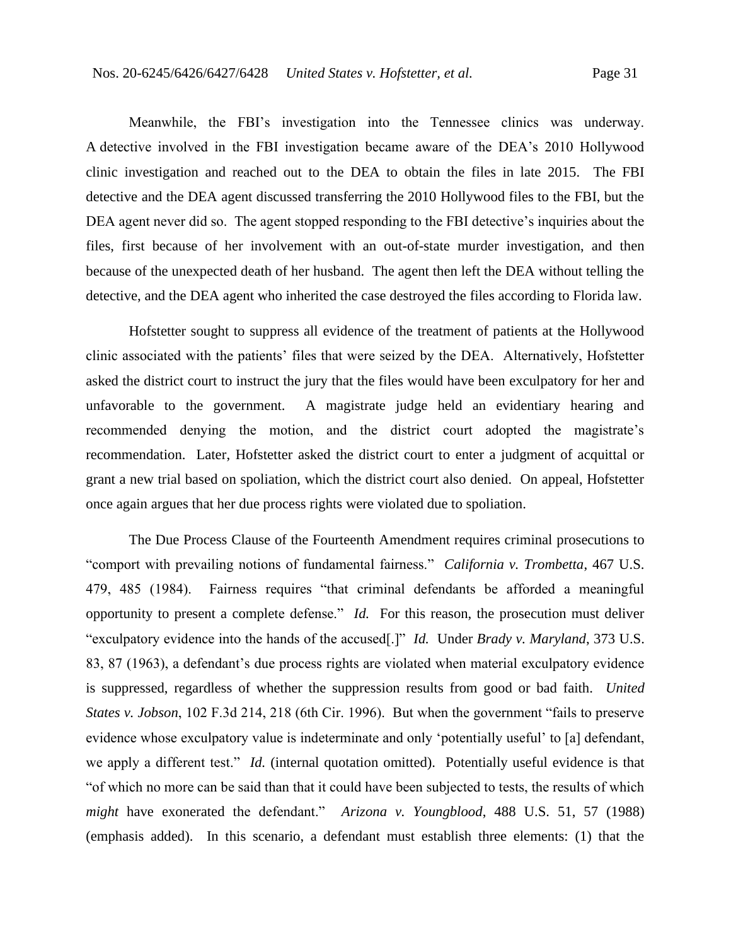Meanwhile, the FBI's investigation into the Tennessee clinics was underway. A detective involved in the FBI investigation became aware of the DEA's 2010 Hollywood clinic investigation and reached out to the DEA to obtain the files in late 2015. The FBI detective and the DEA agent discussed transferring the 2010 Hollywood files to the FBI, but the DEA agent never did so. The agent stopped responding to the FBI detective's inquiries about the files, first because of her involvement with an out-of-state murder investigation, and then because of the unexpected death of her husband. The agent then left the DEA without telling the detective, and the DEA agent who inherited the case destroyed the files according to Florida law.

Hofstetter sought to suppress all evidence of the treatment of patients at the Hollywood clinic associated with the patients' files that were seized by the DEA. Alternatively, Hofstetter asked the district court to instruct the jury that the files would have been exculpatory for her and unfavorable to the government. A magistrate judge held an evidentiary hearing and recommended denying the motion, and the district court adopted the magistrate's recommendation. Later, Hofstetter asked the district court to enter a judgment of acquittal or grant a new trial based on spoliation, which the district court also denied. On appeal, Hofstetter once again argues that her due process rights were violated due to spoliation.

The Due Process Clause of the Fourteenth Amendment requires criminal prosecutions to "comport with prevailing notions of fundamental fairness." *California v. Trombetta*, 467 U.S. 479, 485 (1984). Fairness requires "that criminal defendants be afforded a meaningful opportunity to present a complete defense." *Id.* For this reason, the prosecution must deliver "exculpatory evidence into the hands of the accused[.]" *Id.* Under *Brady v. Maryland*, 373 U.S. 83, 87 (1963), a defendant's due process rights are violated when material exculpatory evidence is suppressed, regardless of whether the suppression results from good or bad faith. *United States v. Jobson*, 102 F.3d 214, 218 (6th Cir. 1996). But when the government "fails to preserve evidence whose exculpatory value is indeterminate and only 'potentially useful' to [a] defendant, we apply a different test." *Id.* (internal quotation omitted).Potentially useful evidence is that "of which no more can be said than that it could have been subjected to tests, the results of which *might* have exonerated the defendant." *Arizona v. Youngblood*, 488 U.S. 51, 57 (1988) (emphasis added). In this scenario, a defendant must establish three elements: (1) that the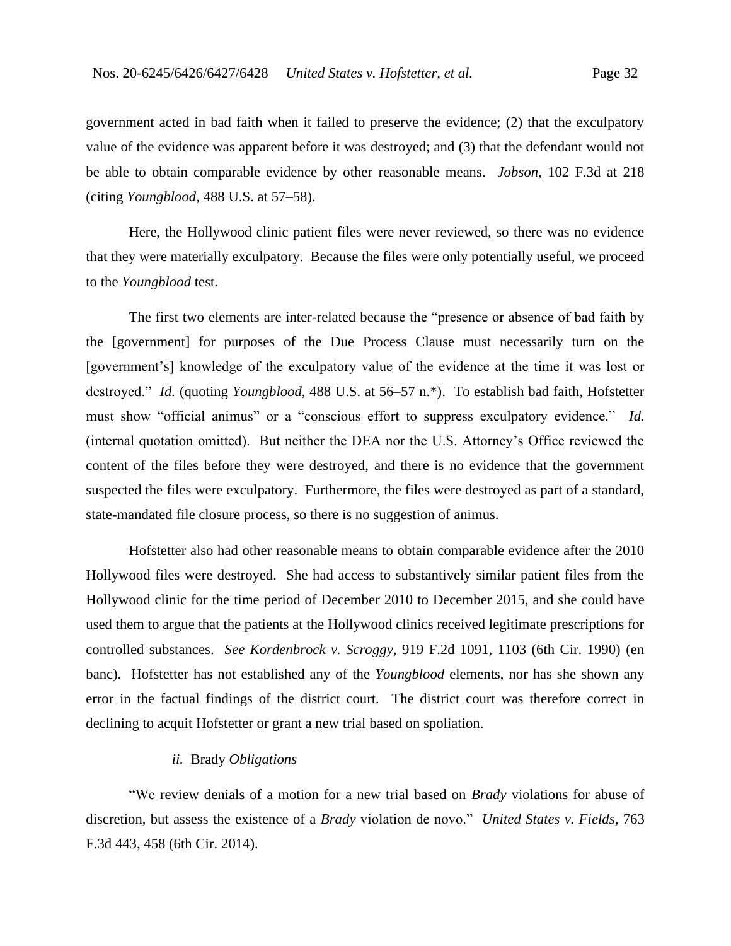government acted in bad faith when it failed to preserve the evidence; (2) that the exculpatory value of the evidence was apparent before it was destroyed; and (3) that the defendant would not be able to obtain comparable evidence by other reasonable means. *Jobson*, 102 F.3d at 218 (citing *Youngblood*, 488 U.S. at 57–58).

Here, the Hollywood clinic patient files were never reviewed, so there was no evidence that they were materially exculpatory. Because the files were only potentially useful, we proceed to the *Youngblood* test.

The first two elements are inter-related because the "presence or absence of bad faith by the [government] for purposes of the Due Process Clause must necessarily turn on the [government's] knowledge of the exculpatory value of the evidence at the time it was lost or destroyed." *Id.* (quoting *Youngblood*, 488 U.S. at 56–57 n.\*). To establish bad faith, Hofstetter must show "official animus" or a "conscious effort to suppress exculpatory evidence." *Id.* (internal quotation omitted). But neither the DEA nor the U.S. Attorney's Office reviewed the content of the files before they were destroyed, and there is no evidence that the government suspected the files were exculpatory. Furthermore, the files were destroyed as part of a standard, state-mandated file closure process, so there is no suggestion of animus.

Hofstetter also had other reasonable means to obtain comparable evidence after the 2010 Hollywood files were destroyed. She had access to substantively similar patient files from the Hollywood clinic for the time period of December 2010 to December 2015, and she could have used them to argue that the patients at the Hollywood clinics received legitimate prescriptions for controlled substances. *See Kordenbrock v. Scroggy*, 919 F.2d 1091, 1103 (6th Cir. 1990) (en banc). Hofstetter has not established any of the *Youngblood* elements, nor has she shown any error in the factual findings of the district court. The district court was therefore correct in declining to acquit Hofstetter or grant a new trial based on spoliation.

#### *ii.* Brady *Obligations*

"We review denials of a motion for a new trial based on *Brady* violations for abuse of discretion, but assess the existence of a *Brady* violation de novo." *United States v. Fields*, 763 F.3d 443, 458 (6th Cir. 2014).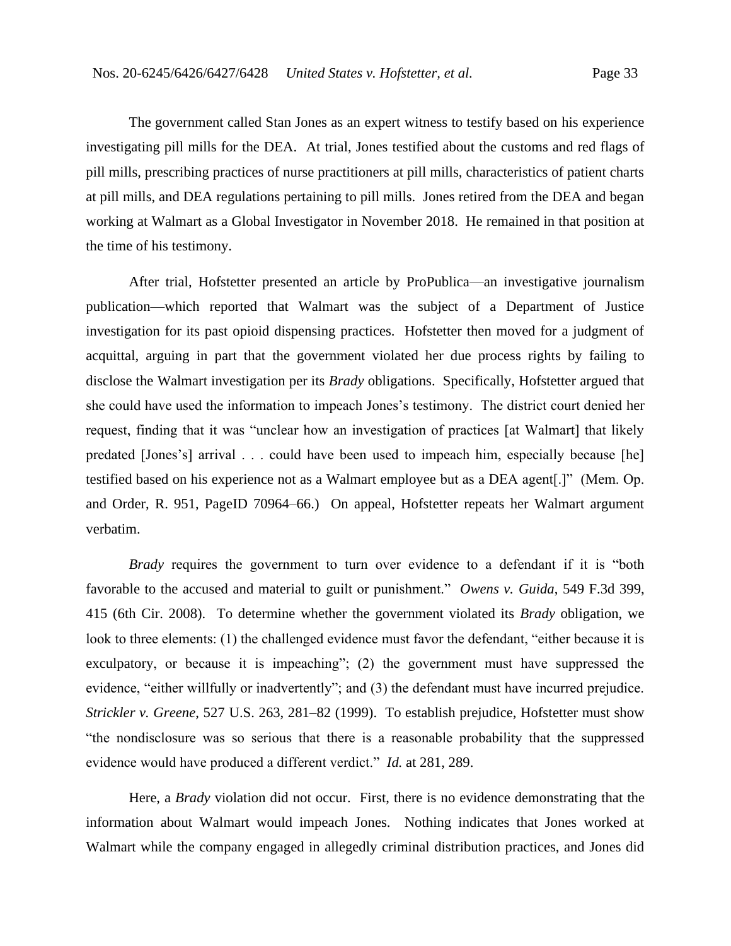The government called Stan Jones as an expert witness to testify based on his experience investigating pill mills for the DEA. At trial, Jones testified about the customs and red flags of pill mills, prescribing practices of nurse practitioners at pill mills, characteristics of patient charts at pill mills, and DEA regulations pertaining to pill mills. Jones retired from the DEA and began working at Walmart as a Global Investigator in November 2018. He remained in that position at the time of his testimony.

After trial, Hofstetter presented an article by ProPublica—an investigative journalism publication—which reported that Walmart was the subject of a Department of Justice investigation for its past opioid dispensing practices. Hofstetter then moved for a judgment of acquittal, arguing in part that the government violated her due process rights by failing to disclose the Walmart investigation per its *Brady* obligations. Specifically, Hofstetter argued that she could have used the information to impeach Jones's testimony. The district court denied her request, finding that it was "unclear how an investigation of practices [at Walmart] that likely predated [Jones's] arrival . . . could have been used to impeach him, especially because [he] testified based on his experience not as a Walmart employee but as a DEA agent[.]" (Mem. Op. and Order, R. 951, PageID 70964–66.) On appeal, Hofstetter repeats her Walmart argument verbatim.

*Brady* requires the government to turn over evidence to a defendant if it is "both favorable to the accused and material to guilt or punishment." *Owens v. Guida*, 549 F.3d 399, 415 (6th Cir. 2008). To determine whether the government violated its *Brady* obligation, we look to three elements: (1) the challenged evidence must favor the defendant, "either because it is exculpatory, or because it is impeaching"; (2) the government must have suppressed the evidence, "either willfully or inadvertently"; and (3) the defendant must have incurred prejudice. *Strickler v. Greene*, 527 U.S. 263, 281–82 (1999). To establish prejudice, Hofstetter must show "the nondisclosure was so serious that there is a reasonable probability that the suppressed evidence would have produced a different verdict." *Id.* at 281, 289.

Here, a *Brady* violation did not occur. First, there is no evidence demonstrating that the information about Walmart would impeach Jones. Nothing indicates that Jones worked at Walmart while the company engaged in allegedly criminal distribution practices, and Jones did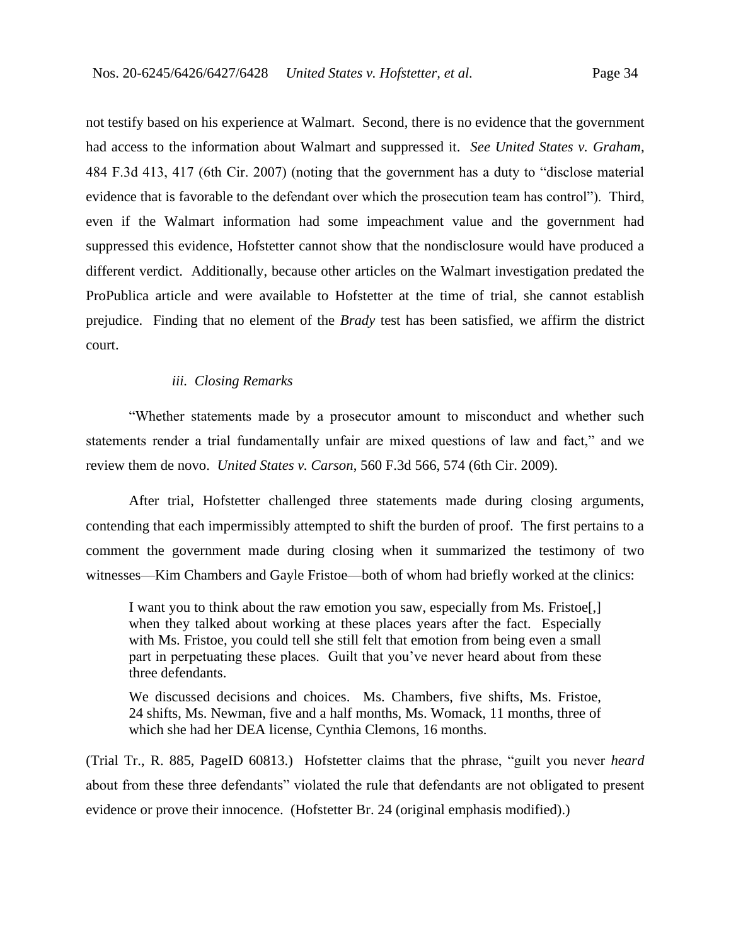not testify based on his experience at Walmart. Second, there is no evidence that the government had access to the information about Walmart and suppressed it. *See United States v. Graham*, 484 F.3d 413, 417 (6th Cir. 2007) (noting that the government has a duty to "disclose material evidence that is favorable to the defendant over which the prosecution team has control"). Third, even if the Walmart information had some impeachment value and the government had suppressed this evidence, Hofstetter cannot show that the nondisclosure would have produced a different verdict. Additionally, because other articles on the Walmart investigation predated the ProPublica article and were available to Hofstetter at the time of trial, she cannot establish prejudice. Finding that no element of the *Brady* test has been satisfied, we affirm the district court.

## *iii. Closing Remarks*

"Whether statements made by a prosecutor amount to misconduct and whether such statements render a trial fundamentally unfair are mixed questions of law and fact," and we review them de novo. *United States v. Carson*, 560 F.3d 566, 574 (6th Cir. 2009).

After trial, Hofstetter challenged three statements made during closing arguments, contending that each impermissibly attempted to shift the burden of proof. The first pertains to a comment the government made during closing when it summarized the testimony of two witnesses—Kim Chambers and Gayle Fristoe—both of whom had briefly worked at the clinics:

I want you to think about the raw emotion you saw, especially from Ms. Fristoe[,] when they talked about working at these places years after the fact. Especially with Ms. Fristoe, you could tell she still felt that emotion from being even a small part in perpetuating these places. Guilt that you've never heard about from these three defendants.

We discussed decisions and choices. Ms. Chambers, five shifts, Ms. Fristoe, 24 shifts, Ms. Newman, five and a half months, Ms. Womack, 11 months, three of which she had her DEA license, Cynthia Clemons, 16 months.

(Trial Tr., R. 885, PageID 60813.) Hofstetter claims that the phrase, "guilt you never *heard* about from these three defendants" violated the rule that defendants are not obligated to present evidence or prove their innocence. (Hofstetter Br. 24 (original emphasis modified).)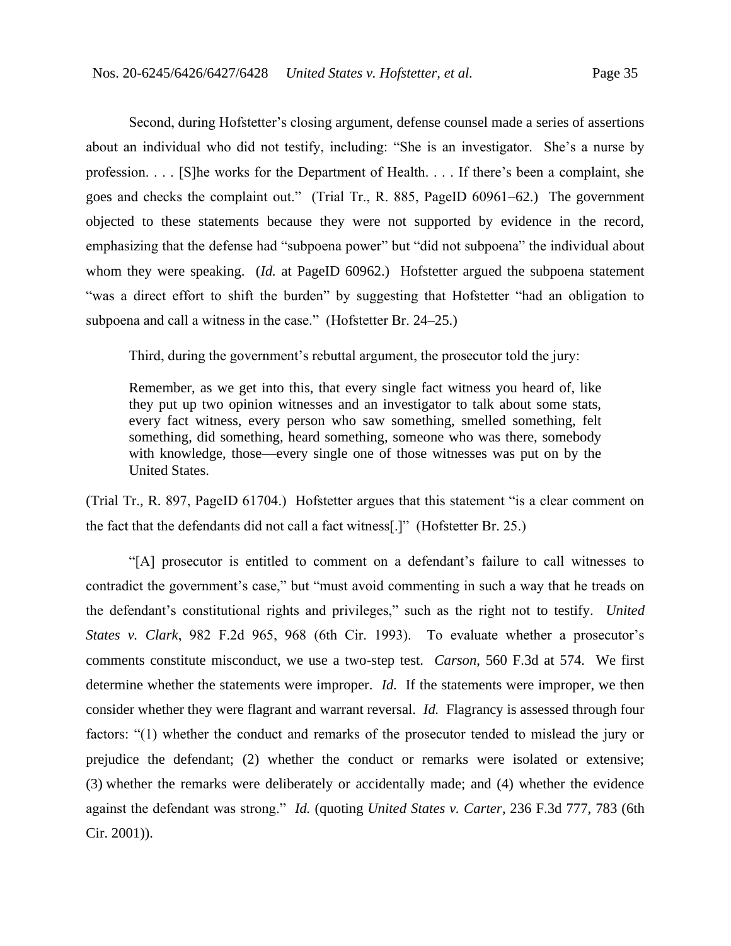Second, during Hofstetter's closing argument, defense counsel made a series of assertions about an individual who did not testify, including: "She is an investigator. She's a nurse by profession. . . . [S]he works for the Department of Health. . . . If there's been a complaint, she goes and checks the complaint out." (Trial Tr., R. 885, PageID 60961–62.) The government objected to these statements because they were not supported by evidence in the record, emphasizing that the defense had "subpoena power" but "did not subpoena" the individual about whom they were speaking. (*Id.* at PageID 60962.) Hofstetter argued the subpoena statement "was a direct effort to shift the burden" by suggesting that Hofstetter "had an obligation to subpoena and call a witness in the case." (Hofstetter Br. 24–25.)

Third, during the government's rebuttal argument, the prosecutor told the jury:

Remember, as we get into this, that every single fact witness you heard of, like they put up two opinion witnesses and an investigator to talk about some stats, every fact witness, every person who saw something, smelled something, felt something, did something, heard something, someone who was there, somebody with knowledge, those—every single one of those witnesses was put on by the United States.

(Trial Tr., R. 897, PageID 61704.) Hofstetter argues that this statement "is a clear comment on the fact that the defendants did not call a fact witness[.]" (Hofstetter Br. 25.)

"[A] prosecutor is entitled to comment on a defendant's failure to call witnesses to contradict the government's case," but "must avoid commenting in such a way that he treads on the defendant's constitutional rights and privileges," such as the right not to testify. *United States v. Clark*, 982 F.2d 965, 968 (6th Cir. 1993). To evaluate whether a prosecutor's comments constitute misconduct, we use a two-step test. *Carson*, 560 F.3d at 574. We first determine whether the statements were improper. *Id.* If the statements were improper, we then consider whether they were flagrant and warrant reversal. *Id.* Flagrancy is assessed through four factors: "(1) whether the conduct and remarks of the prosecutor tended to mislead the jury or prejudice the defendant; (2) whether the conduct or remarks were isolated or extensive; (3) whether the remarks were deliberately or accidentally made; and (4) whether the evidence against the defendant was strong." *Id.* (quoting *United States v. Carter*, 236 F.3d 777, 783 (6th Cir. 2001)).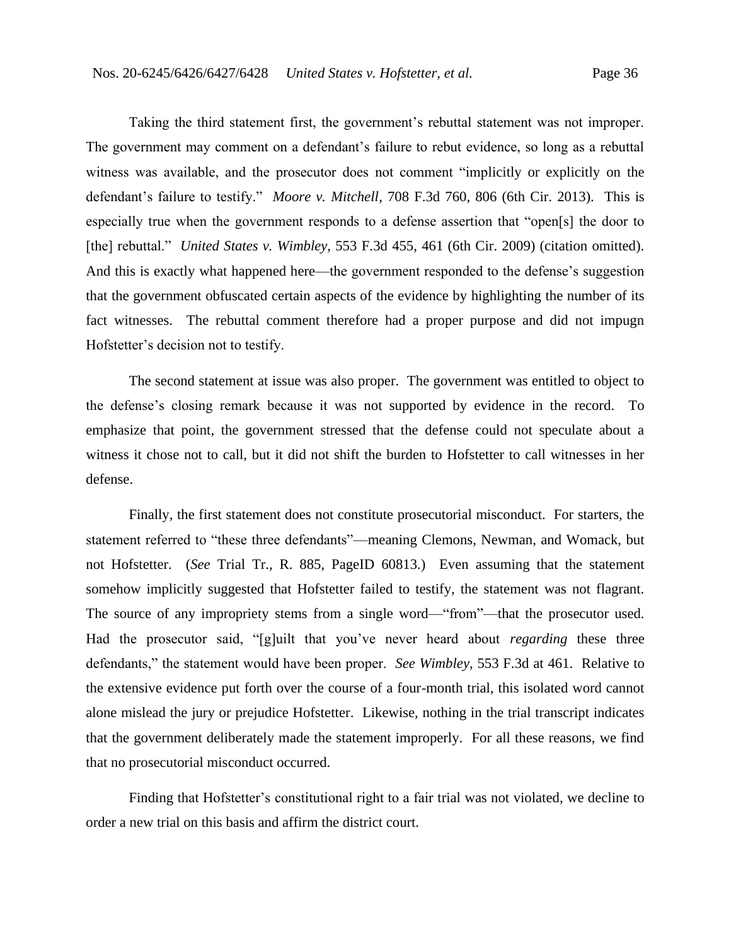Taking the third statement first, the government's rebuttal statement was not improper. The government may comment on a defendant's failure to rebut evidence, so long as a rebuttal witness was available, and the prosecutor does not comment "implicitly or explicitly on the defendant's failure to testify." *Moore v. Mitchell*, 708 F.3d 760, 806 (6th Cir. 2013). This is especially true when the government responds to a defense assertion that "open[s] the door to [the] rebuttal." *United States v. Wimbley*, 553 F.3d 455, 461 (6th Cir. 2009) (citation omitted). And this is exactly what happened here—the government responded to the defense's suggestion that the government obfuscated certain aspects of the evidence by highlighting the number of its fact witnesses. The rebuttal comment therefore had a proper purpose and did not impugn Hofstetter's decision not to testify.

The second statement at issue was also proper. The government was entitled to object to the defense's closing remark because it was not supported by evidence in the record. To emphasize that point, the government stressed that the defense could not speculate about a witness it chose not to call, but it did not shift the burden to Hofstetter to call witnesses in her defense.

Finally, the first statement does not constitute prosecutorial misconduct. For starters, the statement referred to "these three defendants"—meaning Clemons, Newman, and Womack, but not Hofstetter. (*See* Trial Tr., R. 885, PageID 60813.) Even assuming that the statement somehow implicitly suggested that Hofstetter failed to testify, the statement was not flagrant. The source of any impropriety stems from a single word—"from"—that the prosecutor used. Had the prosecutor said, "[g]uilt that you've never heard about *regarding* these three defendants," the statement would have been proper. *See Wimbley*, 553 F.3d at 461. Relative to the extensive evidence put forth over the course of a four-month trial, this isolated word cannot alone mislead the jury or prejudice Hofstetter. Likewise, nothing in the trial transcript indicates that the government deliberately made the statement improperly. For all these reasons, we find that no prosecutorial misconduct occurred.

Finding that Hofstetter's constitutional right to a fair trial was not violated, we decline to order a new trial on this basis and affirm the district court.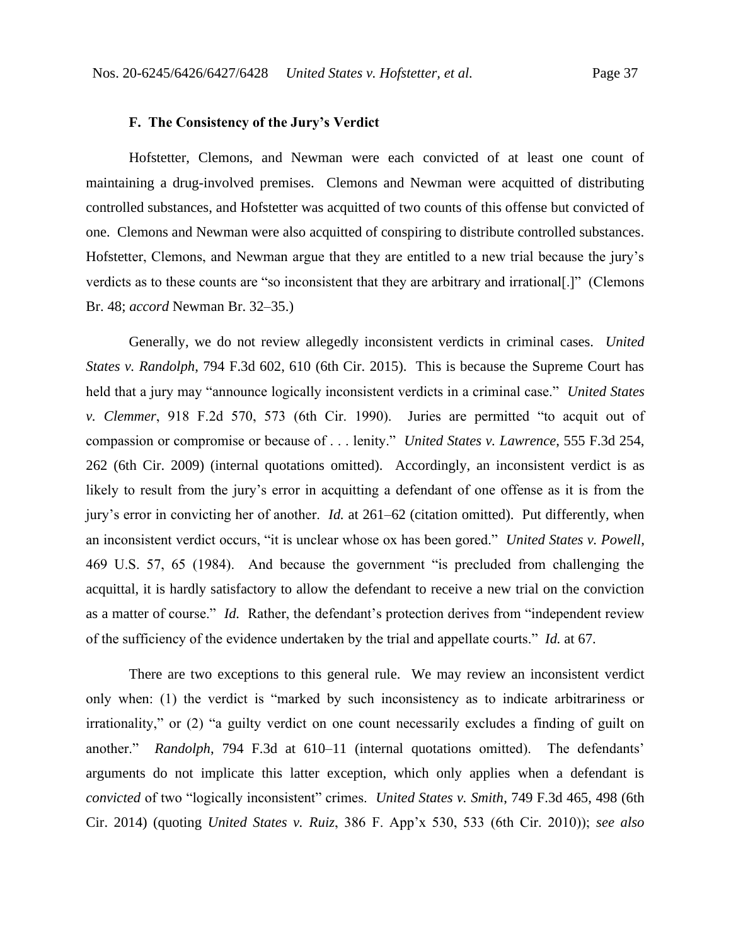#### **F. The Consistency of the Jury's Verdict**

Hofstetter, Clemons, and Newman were each convicted of at least one count of maintaining a drug-involved premises. Clemons and Newman were acquitted of distributing controlled substances, and Hofstetter was acquitted of two counts of this offense but convicted of one. Clemons and Newman were also acquitted of conspiring to distribute controlled substances. Hofstetter, Clemons, and Newman argue that they are entitled to a new trial because the jury's verdicts as to these counts are "so inconsistent that they are arbitrary and irrational[.]" (Clemons Br. 48; *accord* Newman Br. 32–35.)

Generally, we do not review allegedly inconsistent verdicts in criminal cases. *United States v. Randolph*, 794 F.3d 602, 610 (6th Cir. 2015). This is because the Supreme Court has held that a jury may "announce logically inconsistent verdicts in a criminal case." *United States v. Clemmer*, 918 F.2d 570, 573 (6th Cir. 1990). Juries are permitted "to acquit out of compassion or compromise or because of . . . lenity." *United States v. Lawrence*, 555 F.3d 254, 262 (6th Cir. 2009) (internal quotations omitted). Accordingly, an inconsistent verdict is as likely to result from the jury's error in acquitting a defendant of one offense as it is from the jury's error in convicting her of another. *Id.* at 261–62 (citation omitted). Put differently, when an inconsistent verdict occurs, "it is unclear whose ox has been gored." *United States v. Powell*, 469 U.S. 57, 65 (1984). And because the government "is precluded from challenging the acquittal, it is hardly satisfactory to allow the defendant to receive a new trial on the conviction as a matter of course." *Id.* Rather, the defendant's protection derives from "independent review of the sufficiency of the evidence undertaken by the trial and appellate courts." *Id.* at 67.

There are two exceptions to this general rule. We may review an inconsistent verdict only when: (1) the verdict is "marked by such inconsistency as to indicate arbitrariness or irrationality," or (2) "a guilty verdict on one count necessarily excludes a finding of guilt on another." *Randolph*, 794 F.3d at 610–11 (internal quotations omitted). The defendants' arguments do not implicate this latter exception, which only applies when a defendant is *convicted* of two "logically inconsistent" crimes. *United States v. Smith*, 749 F.3d 465, 498 (6th Cir. 2014) (quoting *United States v. Ruiz*, 386 F. App'x 530, 533 (6th Cir. 2010)); *see also*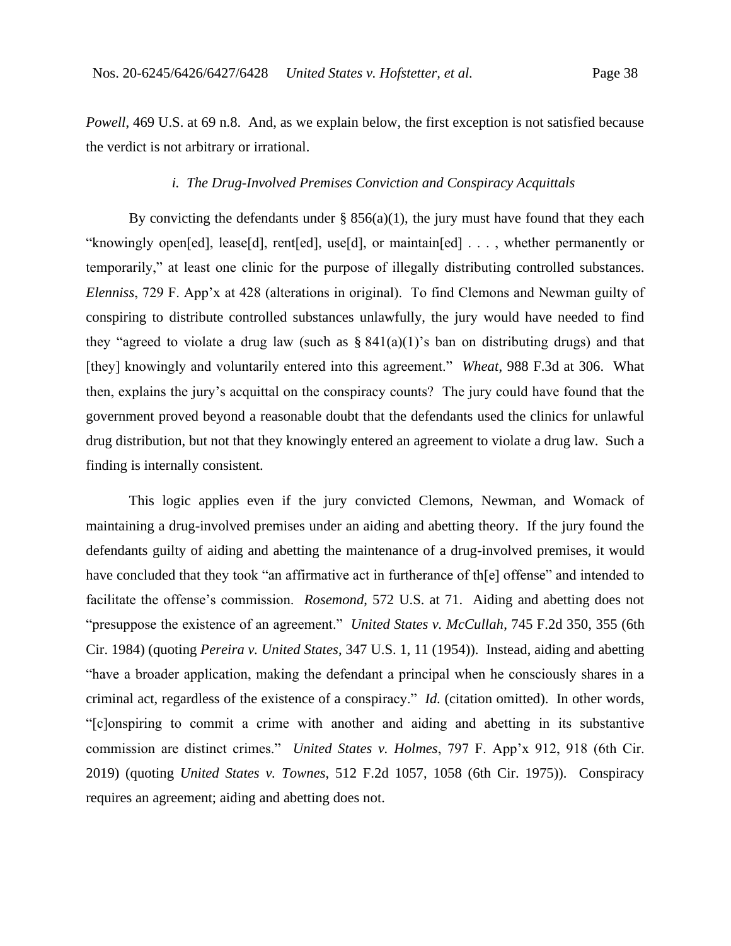*Powell*, 469 U.S. at 69 n.8. And, as we explain below, the first exception is not satisfied because the verdict is not arbitrary or irrational.

#### *i. The Drug-Involved Premises Conviction and Conspiracy Acquittals*

By convicting the defendants under  $\S 856(a)(1)$ , the jury must have found that they each "knowingly open[ed], lease[d], rent[ed], use[d], or maintain[ed] . . . , whether permanently or temporarily," at least one clinic for the purpose of illegally distributing controlled substances. *Elenniss*, 729 F. App'x at 428 (alterations in original). To find Clemons and Newman guilty of conspiring to distribute controlled substances unlawfully, the jury would have needed to find they "agreed to violate a drug law (such as  $\S 841(a)(1)$ 's ban on distributing drugs) and that [they] knowingly and voluntarily entered into this agreement." *Wheat*, 988 F.3d at 306. What then, explains the jury's acquittal on the conspiracy counts? The jury could have found that the government proved beyond a reasonable doubt that the defendants used the clinics for unlawful drug distribution, but not that they knowingly entered an agreement to violate a drug law. Such a finding is internally consistent.

This logic applies even if the jury convicted Clemons, Newman, and Womack of maintaining a drug-involved premises under an aiding and abetting theory. If the jury found the defendants guilty of aiding and abetting the maintenance of a drug-involved premises, it would have concluded that they took "an affirmative act in furtherance of th[e] offense" and intended to facilitate the offense's commission. *Rosemond*, 572 U.S. at 71. Aiding and abetting does not "presuppose the existence of an agreement." *United States v. McCullah*, 745 F.2d 350, 355 (6th Cir. 1984) (quoting *Pereira v. United States*, 347 U.S. 1, 11 (1954)). Instead, aiding and abetting "have a broader application, making the defendant a principal when he consciously shares in a criminal act, regardless of the existence of a conspiracy." *Id.* (citation omitted). In other words, "[c]onspiring to commit a crime with another and aiding and abetting in its substantive commission are distinct crimes." *United States v. Holmes*, 797 F. App'x 912, 918 (6th Cir. 2019) (quoting *United States v. Townes*, 512 F.2d 1057, 1058 (6th Cir. 1975)). Conspiracy requires an agreement; aiding and abetting does not.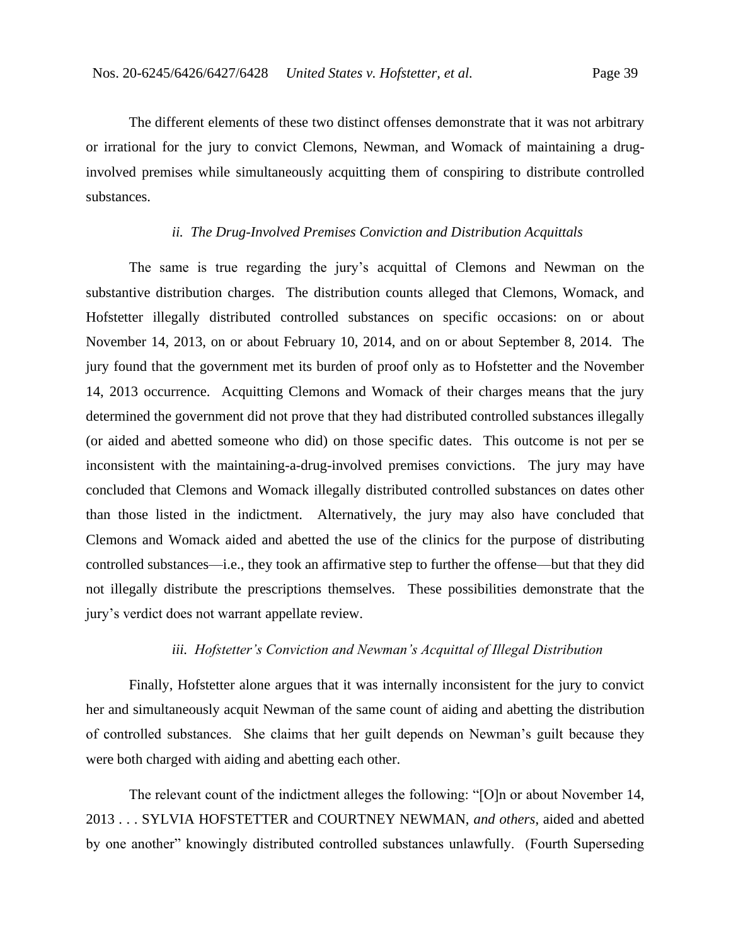The different elements of these two distinct offenses demonstrate that it was not arbitrary or irrational for the jury to convict Clemons, Newman, and Womack of maintaining a druginvolved premises while simultaneously acquitting them of conspiring to distribute controlled substances.

## *ii. The Drug-Involved Premises Conviction and Distribution Acquittals*

The same is true regarding the jury's acquittal of Clemons and Newman on the substantive distribution charges. The distribution counts alleged that Clemons, Womack, and Hofstetter illegally distributed controlled substances on specific occasions: on or about November 14, 2013, on or about February 10, 2014, and on or about September 8, 2014. The jury found that the government met its burden of proof only as to Hofstetter and the November 14, 2013 occurrence. Acquitting Clemons and Womack of their charges means that the jury determined the government did not prove that they had distributed controlled substances illegally (or aided and abetted someone who did) on those specific dates. This outcome is not per se inconsistent with the maintaining-a-drug-involved premises convictions. The jury may have concluded that Clemons and Womack illegally distributed controlled substances on dates other than those listed in the indictment. Alternatively, the jury may also have concluded that Clemons and Womack aided and abetted the use of the clinics for the purpose of distributing controlled substances—i.e., they took an affirmative step to further the offense—but that they did not illegally distribute the prescriptions themselves. These possibilities demonstrate that the jury's verdict does not warrant appellate review.

#### *iii. Hofstetter's Conviction and Newman's Acquittal of Illegal Distribution*

Finally, Hofstetter alone argues that it was internally inconsistent for the jury to convict her and simultaneously acquit Newman of the same count of aiding and abetting the distribution of controlled substances. She claims that her guilt depends on Newman's guilt because they were both charged with aiding and abetting each other.

The relevant count of the indictment alleges the following: "[O]n or about November 14, 2013 . . . SYLVIA HOFSTETTER and COURTNEY NEWMAN, *and others*, aided and abetted by one another" knowingly distributed controlled substances unlawfully. (Fourth Superseding